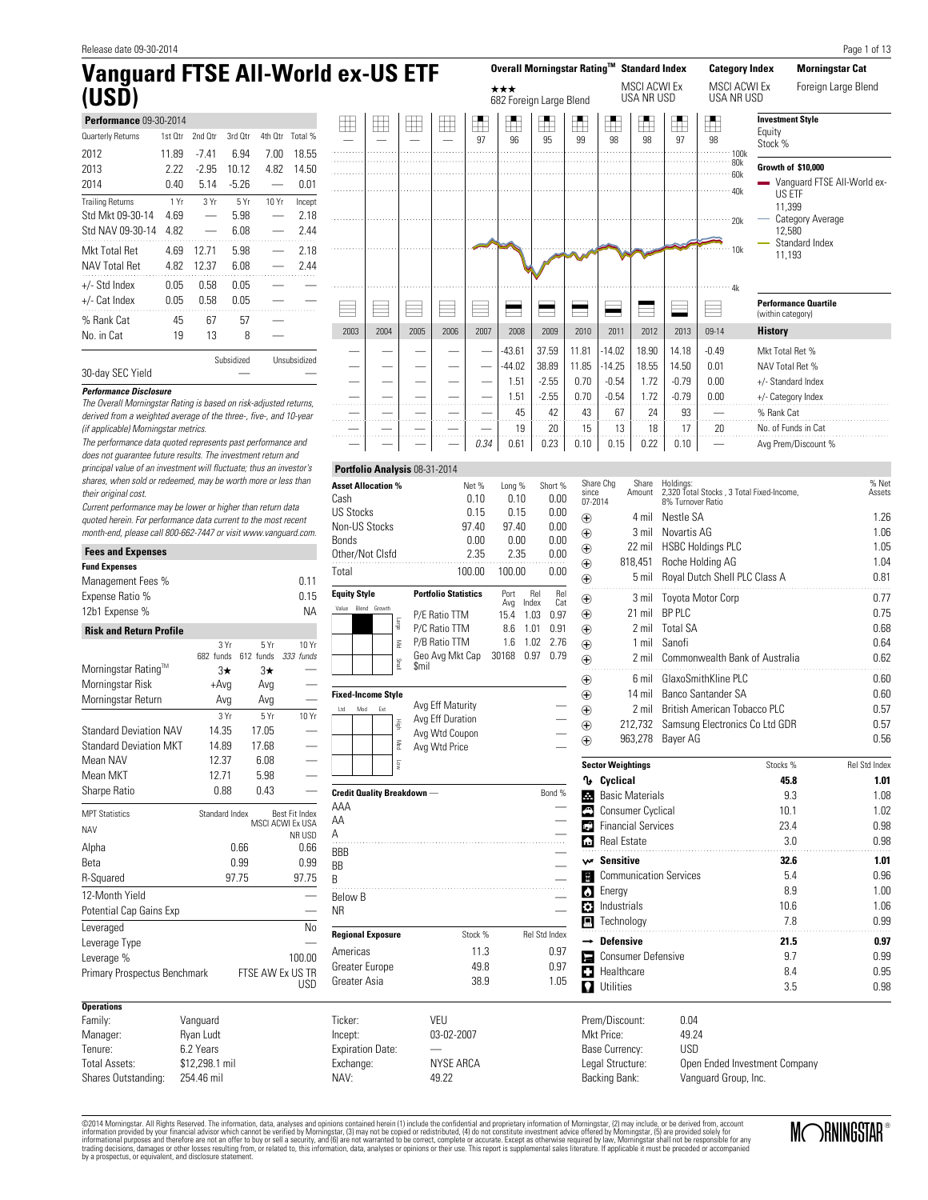30-day SEC Yield **Performance Disclosure**

(if applicable) Morningstar metrics.

# **Vanguard FTSE All-World ex-US ETF (USD)**

|                         | Performance 09-30-2014 |         |            |         |              |  |  |  |  |  |  |  |  |  |
|-------------------------|------------------------|---------|------------|---------|--------------|--|--|--|--|--|--|--|--|--|
| Quarterly Returns       | 1st Otr                | 2nd Otr | 3rd Otr    | 4th Otr | Total %      |  |  |  |  |  |  |  |  |  |
| 2012                    | 11.89                  | -741    | 6.94       | 7.00    | 18.55        |  |  |  |  |  |  |  |  |  |
| 2013                    | 2.22                   | $-2.95$ | 10.12      | 4.82    | 14.50        |  |  |  |  |  |  |  |  |  |
| 2014                    | በ 4በ                   | 5.14    | $-5.26$    |         | 0.01         |  |  |  |  |  |  |  |  |  |
| <b>Trailing Returns</b> | 1 Yr                   | 3Yr     | 5Yr        | 10 Yr   | Incept       |  |  |  |  |  |  |  |  |  |
| Std Mkt 09-30-14        | 4.69                   |         | 5.98       |         | 2.18         |  |  |  |  |  |  |  |  |  |
| Std NAV 09-30-14        | 4.82                   |         | 6.08       |         | 2.44         |  |  |  |  |  |  |  |  |  |
| Mkt Total Ret           | 4.69                   | 12 71   | 5.98       |         | 2.18         |  |  |  |  |  |  |  |  |  |
| <b>NAV Total Ret</b>    | 4.82                   | 12.37   | 6.08       |         | 2 44         |  |  |  |  |  |  |  |  |  |
| +/- Std Index           | 0.05                   | 0.58    | 0.05       |         |              |  |  |  |  |  |  |  |  |  |
| +/- Cat Index           | 0.05                   | 0.58    | 0.05       |         |              |  |  |  |  |  |  |  |  |  |
| % Rank Cat              | 45                     | 67      | 57         |         |              |  |  |  |  |  |  |  |  |  |
| No. in Cat              | 19                     | 13      | 8          |         |              |  |  |  |  |  |  |  |  |  |
|                         |                        |         | Subsidized |         | Unsubsidized |  |  |  |  |  |  |  |  |  |

|   |      |       |              |       |          |                                              |                                      |                                |                                            |                                            |                                      |                                 |                                                |                                                                                | Page 1 of 13                                                                                              |
|---|------|-------|--------------|-------|----------|----------------------------------------------|--------------------------------------|--------------------------------|--------------------------------------------|--------------------------------------------|--------------------------------------|---------------------------------|------------------------------------------------|--------------------------------------------------------------------------------|-----------------------------------------------------------------------------------------------------------|
|   |      |       | ld ex-US ETF |       |          |                                              |                                      |                                |                                            | Overall Morningstar Rating™ Standard Index |                                      |                                 | <b>Category Index</b>                          |                                                                                | <b>Morningstar Cat</b>                                                                                    |
|   |      |       |              |       |          | $\star\star\star$<br>682 Foreign Large Blend |                                      |                                |                                            | <b>MSCI ACWI Ex</b><br>USA NR USD          |                                      |                                 | MSCI ACWI Ex<br><b>USA NR USD</b>              |                                                                                | Foreign Large Blend                                                                                       |
| H |      | $\pm$ | $\mathbb H$  | $\pm$ | f.<br>97 | ਜ<br>96                                      | H<br>95                              | H<br>99                        | H<br>98                                    | H<br>98                                    | Ĩ.<br>97                             | H<br>98                         | 100k<br>80k                                    | <b>Investment Style</b><br>Equity<br>Stock %                                   |                                                                                                           |
|   |      |       |              |       |          |                                              |                                      |                                |                                            |                                            |                                      |                                 | Growth of \$10.000<br>60k<br>40k<br>20k<br>10k |                                                                                | Vanquard FTSE All-World ex-<br>US ETF<br>11.399<br>Category Average<br>12.580<br>Standard Index<br>11,193 |
|   |      |       |              |       |          |                                              |                                      |                                |                                            |                                            |                                      |                                 | 4k                                             | (within category)                                                              | <b>Performance Quartile</b>                                                                               |
|   | 2003 | 2004  | 2005         | 2006  | 2007     | 2008                                         | 2009                                 | 2010                           | 2011                                       | 2012                                       | 2013                                 | $09-14$                         |                                                | <b>History</b>                                                                 |                                                                                                           |
|   |      |       |              |       |          | $-43.61$<br>$-44.02$<br>1.51<br>1.51         | 37.59<br>38.89<br>$-2.55$<br>$-2.55$ | 11.81<br>11.85<br>0.70<br>0.70 | $-14.02$<br>$-14.25$<br>$-0.54$<br>$-0.54$ | 18.90<br>18.55<br>1.72<br>1.72             | 14.18<br>14.50<br>$-0.79$<br>$-0.79$ | $-0.49$<br>0.01<br>0.00<br>0.00 |                                                | Mkt Total Ret %<br>NAV Total Ret %<br>+/- Standard Index<br>+/- Category Index |                                                                                                           |
|   |      |       |              |       |          | 45                                           | 42                                   | 43                             | 67                                         | 24                                         | 93                                   |                                 |                                                | % Rank Cat                                                                     |                                                                                                           |
|   |      |       |              |       |          | 19                                           | 20                                   | 15                             | 13                                         | 18                                         | 17                                   | 20                              |                                                | No. of Funds in Cat                                                            |                                                                                                           |
|   |      |       |              |       | 0.34     | 0.61                                         | 0.23                                 | 0.10                           | 0.15                                       | 0.22                                       | 0.10                                 |                                 |                                                |                                                                                | Avg Prem/Discount %                                                                                       |

The performance data quoted represents past performance and does not guarantee future results. The investment return and principal value of an investment will fluctuate; thus an investor's shares, when sold or redeemed, may be worth more or less than their original cost.

The Overall Morningstar Rating is based on risk-adjusted returns, derived from a weighted average of the three-, five-, and 10-year

Current performance may be lower or higher than return data quoted herein. For performance data current to the most recent month-end, please call 800-662-7447 or visit www.vanguard.com.

| <b>Fees and Expenses</b>       |                |                  |                            |  |  |
|--------------------------------|----------------|------------------|----------------------------|--|--|
| <b>Fund Expenses</b>           |                |                  |                            |  |  |
| Management Fees %              |                |                  | 0.11                       |  |  |
| Expense Ratio %                |                |                  | 0.15                       |  |  |
| 12b1 Expense %                 |                |                  | <b>NA</b>                  |  |  |
| <b>Risk and Return Profile</b> |                |                  |                            |  |  |
|                                | 3 Yr           | 5Yr              | 10 Yr                      |  |  |
|                                | 682 funds      | 612 funds        | $333$ funds                |  |  |
| Morningstar Rating™            | 3★             | 3★               |                            |  |  |
| Morningstar Risk               | +Avq           | Avg              |                            |  |  |
| Morningstar Return             | Avg            | Avg              |                            |  |  |
|                                | 3Yr            | 5Yr              | 10 Yr                      |  |  |
| <b>Standard Deviation NAV</b>  | 14.35          | 17.05            |                            |  |  |
| <b>Standard Deviation MKT</b>  | 14.89          | 17.68            |                            |  |  |
| Mean NAV                       | 12.37          | 6.08             |                            |  |  |
| Mean MKT                       | 12.71          | 5.98             |                            |  |  |
| Sharpe Ratio                   | 0.88           | 0.43             |                            |  |  |
| <b>MPT Statistics</b>          | Standard Index |                  | Best Fit Index             |  |  |
| <b>NAV</b>                     |                |                  | MSCI ACWI Ex USA<br>NR USD |  |  |
| Alpha                          |                | 0.66             | 0.66                       |  |  |
| Beta                           |                | 0.99             | 0.99                       |  |  |
| R-Squared                      |                | 97.75            | 97.75                      |  |  |
| 12-Month Yield                 |                |                  |                            |  |  |
| Potential Cap Gains Exp        |                |                  |                            |  |  |
| Leveraged                      |                |                  | N٥                         |  |  |
| Leverage Type                  |                |                  |                            |  |  |
| Leverage %                     |                |                  | 100.00                     |  |  |
| Primary Prospectus Benchmark   |                | FTSE AW Ex US TR |                            |  |  |
|                                |                |                  | USD                        |  |  |
| <b>Operations</b>              |                |                  |                            |  |  |
| Family:                        | Vanguard       |                  |                            |  |  |
| Manager:                       | Ryan Ludt      |                  |                            |  |  |
| Tenure:                        | 6.2 Years      |                  |                            |  |  |
| <b>Total Assets:</b>           | \$12,298.1 mil |                  |                            |  |  |
| Shares Outstanding:            | 254.46 mil     |                  |                            |  |  |

| Asset Allocation %       | Net %                          | Long %      |              | Short %    |  |  |  |
|--------------------------|--------------------------------|-------------|--------------|------------|--|--|--|
| Cash                     | 0.10                           | 0.10        |              | 0.00       |  |  |  |
| US Stocks                | 0.15                           | 0.15        |              | 0.00       |  |  |  |
| Non-US Stocks            | 97.40                          | 97.40       |              | 0.00       |  |  |  |
| Bonds                    | 0.00                           | 0.00        | 0.00         |            |  |  |  |
| Other/Not Clsfd          | 2.35                           | 2.35        | 0.00         |            |  |  |  |
| Total                    | 100.00                         | 100.00      |              |            |  |  |  |
| <b>Equity Style</b>      | <b>Portfolio Statistics</b>    | Port<br>Ava | Rel<br>Index | Rel<br>Cat |  |  |  |
| Value<br>Growth<br>Blend | P/E Ratio TTM                  | 15.4        | 1.03         | 0.97       |  |  |  |
| ebien                    | P/C Ratio TTM                  | 8.6         | 1.01         | 0.91       |  |  |  |
| Š                        | P/B Ratio TTM                  | 1.6         | 1.02         | 2.76       |  |  |  |
| lism                     | Geo Avg Mkt Cap<br><b>Smil</b> | 30168       | 0.97         | 0.79       |  |  |  |
|                          |                                |             |              |            |  |  |  |

**Portfolio Analysis** 08-31-2014

| <b>Fixed-Income Style</b> |     |     |                      |                                                                         |        |
|---------------------------|-----|-----|----------------------|-------------------------------------------------------------------------|--------|
| Ltd                       | Mod | Ext | 毒<br>Med<br><b>S</b> | Avg Eff Maturity<br>Avg Eff Duration<br>Avg Wtd Coupon<br>Avg Wtd Price |        |
|                           |     |     |                      | <b>Credit Quality Breakdown</b> -                                       | Bond % |
| AAA                       |     |     |                      |                                                                         |        |
| AA                        |     |     |                      |                                                                         |        |

 $\overline{A}$   $\qquad \qquad$ BBB —  $\overline{\phantom{a}}$ BB B and  $\overline{B}$ Below B  $\qquad$   $\qquad$   $\qquad$   $\qquad$   $\qquad$   $\qquad$   $\qquad$   $\qquad$   $\qquad$   $\qquad$   $\qquad$   $\qquad$   $\qquad$   $\qquad$   $\qquad$   $\qquad$   $\qquad$   $\qquad$   $\qquad$   $\qquad$   $\qquad$   $\qquad$   $\qquad$   $\qquad$   $\qquad$   $\qquad$   $\qquad$   $\qquad$   $\qquad$   $\qquad$   $\qquad$   $\qquad$   $\qquad$   $\qquad$   $\qquad$   $\q$  $N$ R  $-$ **Regional Exposure** Stock % Rel Std Index Americas 11.3 0.97 Greater Europe 49.8 0.97 Greater Asia 38.9 1.05

| 10                 | 0.15<br>$\mathsf{l}$          | $0.22$ 0.10                    | Avg Prem/Discount %                       |                      |
|--------------------|-------------------------------|--------------------------------|-------------------------------------------|----------------------|
|                    |                               |                                |                                           |                      |
| since<br>07-2014   | Share Chg<br>Share<br>Amount  | Holdings:<br>8% Turnover Ratio | 2,320 Total Stocks, 3 Total Fixed-Income, | % Net<br>Assets      |
| ⊕                  | 4 mil                         | Nestle SA                      |                                           | 1.26                 |
| ⊕                  | 3 mil                         | Novartis AG                    |                                           | 1.06                 |
| ⊕                  | 22 mil                        | <b>HSBC Holdings PLC</b>       |                                           | 1.05                 |
| ⊕                  | 818,451                       | Roche Holding AG               |                                           | 1.04                 |
| ⊕                  | 5 mil                         |                                | Royal Dutch Shell PLC Class A             | 0.81                 |
| ⊕                  | 3 mil                         | <b>Toyota Motor Corp</b>       |                                           | 0.77                 |
| ⊕                  | $21$ mil                      | <b>BP PLC</b>                  |                                           | 0.75                 |
| $_{\oplus}$        | 2 mil                         | <b>Total SA</b>                |                                           | 0.68                 |
| $_{\oplus}$        | 1 mil                         | Sanofi                         |                                           | 0.64                 |
| ⊕                  | 2 mil                         |                                | Commonwealth Bank of Australia            | 0.62                 |
| $_{\oplus}$        | 6 mil                         | GlaxoSmithKline PLC            |                                           | 0.60                 |
| ⊕                  | 14 mil                        | Banco Santander SA             |                                           | 0.60                 |
| ⊕                  | 2 mil                         |                                | <b>British American Tobacco PLC</b>       | 0.57                 |
| ⊕                  | 212,732                       |                                | Samsung Electronics Co Ltd GDR            | 0.57                 |
| ⊕                  | 963,278                       | Bayer AG                       |                                           | 0.56                 |
|                    | <b>Sector Weightings</b>      |                                | Stocks %                                  | <b>Rel Std Index</b> |
| Դ                  | Cyclical                      |                                | 45.8                                      | 1.01                 |
| E.                 | <b>Basic Materials</b>        |                                | 9.3                                       | 1.08                 |
| <mark>⊕</mark>     | <b>Consumer Cyclical</b>      |                                | 10.1                                      | 1.02                 |
| G.                 | <b>Financial Services</b>     |                                | 23.4                                      | 0.98                 |
| $\hat{\mathbf{r}}$ | <b>Real Estate</b>            |                                | 3.0                                       | 0.98                 |
|                    | w Sensitive                   |                                | 32.6                                      | 1.01                 |
| $\mathbf{E}$       | <b>Communication Services</b> |                                | 5.4                                       | 0.96                 |
| δ.                 | Energy                        |                                | 8.9                                       | 1.00                 |
| O.                 | Industrials                   |                                | 10.6                                      | 1.06                 |
|                    | $\blacksquare$ Technology     |                                | 7.8                                       | 0.99                 |
|                    | <b>Defensive</b>              |                                | 21.5                                      | 0.97                 |
| Ε                  | <b>Consumer Defensive</b>     |                                | 9.7                                       | 0.99                 |
|                    | <b>B</b> Healthcare           |                                | 8.4                                       | 0.95                 |
| Ω                  | Utilities                     |                                | 3.5                                       | 0.98                 |
|                    |                               |                                |                                           |                      |

Prem/Discount: 0.04<br>Mkt Price: 49.24 Mkt Price: 49.24<br>Base Currency: USD Base Currency: Legal Structure: Open Ended Investment Company<br>Backing Bank: Vanguard Group, Inc. Vanguard Group, Inc.

©2014 Morningstar. All Rights Reserved. The information, data, analyses and opinions contained herein (1) include the confidential and proprietary information of Morningstar, (2) may include, or be derived from, account<br>in by a prospectus, or equivalent, and disclosure statement.

Ticker: VEU Incept: 03-02-2007

Exchange: NYSE ARCA NAV: 49.22

Expiration Date:

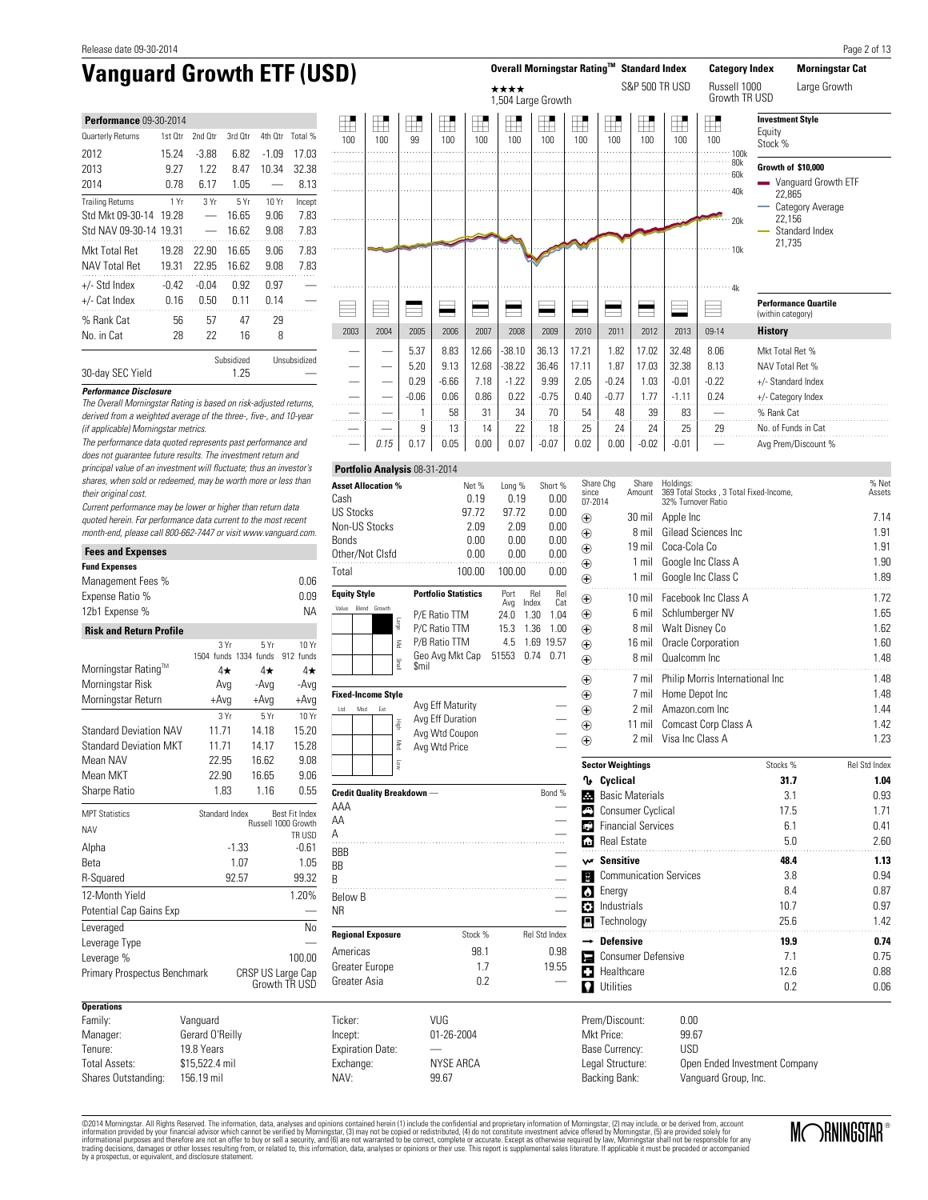| <b>Performance 09-30-2014</b> |         |         |            |         |              |
|-------------------------------|---------|---------|------------|---------|--------------|
| Quarterly Returns             | 1st Qtr | 2nd Otr | 3rd Otr    | 4th Otr | Total %      |
| 2012                          | 15.24   | $-3.88$ | 6.82       | $-1.09$ | 17.03        |
| 2013                          | 9.27    | 1.22    | 8.47       | 10.34   | 32.38        |
| 2014                          | በ 78    | 6.17    | 1.05       |         | 8.13         |
| <b>Trailing Returns</b>       | 1 Yr    | 3Yr     | 5Yr        | 10 Yr   | Incept       |
| Std Mkt 09-30-14              | 19.28   |         | 16.65      | 9.06    | 7.83         |
| Std NAV 09-30-14              | 19.31   |         | 16.62      | 9.08    | 7.83         |
| Mkt Total Ret                 | 19.28   | 22.90   | 16.65      | 9.06    | 7.83         |
| <b>NAV Total Ret</b>          | 19.31   | 22.95   | 16.62      | 9.08    | 7.83         |
| $+/-$ Std Index               | $-0.42$ | $-0.04$ | 0.92       | 0.97    |              |
| +/- Cat Index                 | 0.16    | 0.50    | n 11       | በ 14    |              |
| % Rank Cat                    | 56      | 57      | 47         | 29      |              |
| No. in Cat                    | 28      | 22      | 16         | 8       |              |
|                               |         |         | Subsidized |         | Unsubsidized |



The Overall Morningstar Rating is based on risk-adjusted returns, derived from a weighted average of the three-, five-, and 10-year

30-day SEC Yield 1.25

**Performance Disclosure**

٠

(if applicable) Morningstar metrics.

Current performance may be lower or higher than return data quoted herein. For performance data current to the most recent month-end, please call 800-662-7447 or visit www.vanguard.com.

| <b>Fees and Expenses</b>       |                             |          |                                       |  |  |  |  |
|--------------------------------|-----------------------------|----------|---------------------------------------|--|--|--|--|
| <b>Fund Expenses</b>           |                             |          |                                       |  |  |  |  |
| Management Fees %              |                             |          | 0.06                                  |  |  |  |  |
| Expense Ratio %                |                             |          | 0.09                                  |  |  |  |  |
| 12b1 Expense %                 |                             |          | <b>NA</b>                             |  |  |  |  |
| <b>Risk and Return Profile</b> |                             |          |                                       |  |  |  |  |
|                                | 3Yr                         | 5Yr      | 10 Yr                                 |  |  |  |  |
| Morningstar Rating™            | 1504 funds 1334 funds<br>4★ | $4\star$ | 912 funds<br>4★                       |  |  |  |  |
| Morningstar Risk               | Avg                         | -Avg     | -Avg                                  |  |  |  |  |
| Morningstar Return             | $+Avg$                      | $+Avg$   | $+Avg$                                |  |  |  |  |
|                                | 3 Yr                        | 5Yr      | 10 Yr                                 |  |  |  |  |
| <b>Standard Deviation NAV</b>  | 11.71                       | 14.18    | 15.20                                 |  |  |  |  |
| <b>Standard Deviation MKT</b>  | 11.71                       | 14.17    | 15.28                                 |  |  |  |  |
| Mean NAV                       | 22.95                       | 16.62    | 9.08                                  |  |  |  |  |
| Mean MKT                       | 22.90                       | 16.65    | 9.06                                  |  |  |  |  |
| Sharpe Ratio                   | 1.83                        | 1.16     | 0.55                                  |  |  |  |  |
|                                |                             |          |                                       |  |  |  |  |
| <b>MPT Statistics</b>          | Standard Index              |          | Best Fit Index<br>Russell 1000 Growth |  |  |  |  |
| <b>NAV</b>                     |                             |          | TR USD                                |  |  |  |  |
| Alpha                          | $-1.33$                     |          | $-0.61$<br>1.05                       |  |  |  |  |
| Reta                           |                             | 1.07     |                                       |  |  |  |  |
| R-Squared                      | 92.57                       |          | 99.32                                 |  |  |  |  |
| 12-Month Yield                 |                             |          | 1.20%                                 |  |  |  |  |
| Potential Cap Gains Exp        |                             |          |                                       |  |  |  |  |
| Leveraged                      |                             |          | Nο                                    |  |  |  |  |
| Leverage Type                  |                             |          |                                       |  |  |  |  |
| Leverage %                     |                             |          | 100.00                                |  |  |  |  |
| Primary Prospectus Benchmark   |                             |          | CRSP US Large Cap<br>Growth TR USD    |  |  |  |  |
| <b>Operations</b>              |                             |          |                                       |  |  |  |  |
| Family:                        | Vanguard                    |          |                                       |  |  |  |  |
| Manager:                       | Gerard O'Reilly             |          |                                       |  |  |  |  |
| Tenure:                        | 19.8 Years                  |          |                                       |  |  |  |  |
| <b>Total Assets:</b>           | \$15,522.4 mil              |          |                                       |  |  |  |  |
| Shares Outstanding:            | 156.19 mil                  |          |                                       |  |  |  |  |

|                     |       | Asset Allocation % |       | Net %                          | Long %      |              | Short %    |  |  |  |
|---------------------|-------|--------------------|-------|--------------------------------|-------------|--------------|------------|--|--|--|
| Cash                |       |                    |       | 0.19                           | 0.19        |              | 0.00       |  |  |  |
| US Stocks           |       |                    |       | 97.72                          | 97.72       |              | 0.00       |  |  |  |
|                     |       | Non-US Stocks      |       | 2.09                           | 2.09        |              | 0.00       |  |  |  |
| Bonds               |       |                    |       | 0.00                           | 0.00        | 0.00         |            |  |  |  |
|                     |       | Other/Not Clsfd    |       | 0.00                           | 0.00        | 0.00         |            |  |  |  |
| Total               |       |                    |       | 100.00                         | 100.00      |              |            |  |  |  |
| <b>Equity Style</b> |       |                    |       | <b>Portfolio Statistics</b>    | Port<br>Avg | Rel<br>Index | Rel<br>Cat |  |  |  |
| Value               | Blend | Growth             |       | P/E Ratio TTM                  | 24.0        | 1.30         | 1.04       |  |  |  |
|                     |       |                    | эблет | P/C Ratio TTM                  | 15.3        | 1.36         | 1.00       |  |  |  |
|                     |       |                    | Š     | P/B Ratio TTM                  | 4.5         | 1.69         | 19.57      |  |  |  |
|                     |       |                    | lleng | Geo Avg Mkt Cap<br><b>Smil</b> | 51553       | 0.74         | 0.71       |  |  |  |
|                     |       |                    |       |                                |             |              |            |  |  |  |

**Portfolio Analysis** 08-31-2014

**Fixed-**

Below B<br>NR

| Fixed-Income Stvle |     |     |                      |                                                                         |        |
|--------------------|-----|-----|----------------------|-------------------------------------------------------------------------|--------|
| Ltd                | Mod | Ext | 풀<br>Mec<br><b>S</b> | Avg Eff Maturity<br>Avg Eff Duration<br>Avg Wtd Coupon<br>Avg Wtd Price |        |
|                    |     |     |                      | Credit Quality Breakdown —                                              | Bond % |

 $\overline{\mathsf{A}\mathsf{A}\mathsf{A}}$   $\qquad \qquad \qquad \qquad \qquad \qquad \qquad \qquad \qquad \qquad$  $AA$   $\overline{A}$   $\qquad \qquad$ BBB —  $\overline{\phantom{a}}$ BB B and the set of  $\sim$ 

 $N$ R  $-$ **Regional Exposure** Stock % Rel Std Index Americas 98.1 0.98 Greater Europe 1.7 19.55

| since<br>07-2014        | Share Chg<br>Share<br>Amount  | Holdings:<br>369 Total Stocks, 3 Total Fixed-Income,<br>32% Turnover Ratio |          | % Net<br>Assets |
|-------------------------|-------------------------------|----------------------------------------------------------------------------|----------|-----------------|
| ⊕                       | 30 mil                        | Apple Inc                                                                  |          | 7.14            |
| ⊕                       | 8 mil                         | Gilead Sciences Inc                                                        |          | 1.91            |
| $_{\oplus}$             | $19$ mil                      | Coca-Cola Co                                                               |          | 1.91            |
| ⊕                       | $1$ mil                       | Google Inc Class A                                                         |          | 1.90            |
| ⊕                       | 1 mil                         | Google Inc Class C                                                         |          | 1.89            |
| $_{\oplus}$             | $10$ mil                      | Facebook Inc Class A                                                       |          | 1.72            |
| ⊕                       | 6 mil                         | Schlumberger NV                                                            |          | 1.65            |
| ⊕                       | 8 mil                         | Walt Disney Co                                                             |          | 1.62            |
| $_{\oplus}$             | $16$ mil                      | Oracle Corporation                                                         |          | 1.60            |
| $_{\oplus}$             | 8 mil                         | Qualcomm Inc.                                                              |          | 1.48            |
| ⊕                       | 7 mil                         | Philip Morris International Inc                                            |          | 1.48            |
| $_{\oplus}$             | 7 mil                         | Home Depot Inc                                                             |          | 1.48            |
| $_{\oplus}$             | 2 mil                         | Amazon.com Inc                                                             |          | 1.44            |
| ⊕                       | $11$ mil                      | <b>Comcast Corp Class A</b>                                                |          | 1.42            |
| ⊕                       | 2 mil                         | Visa Inc Class A                                                           |          | 1.23            |
|                         | <b>Sector Weightings</b>      |                                                                            | Stocks % | Rel Std Index   |
| Ⴠ                       | Cyclical                      |                                                                            | 31.7     | 1.04            |
| A.                      | <b>Basic Materials</b>        |                                                                            | 3.1      | 0.93            |
| <mark>⊕</mark>          | Consumer Cyclical             |                                                                            | 17.5     | 1.71            |
| ¢                       | <b>Financial Services</b>     |                                                                            | 6.1      | 0.41            |
| $\overline{\mathbf{r}}$ | <b>Real Estate</b>            |                                                                            | 5.0      | 2.60            |
|                         | w Sensitive                   |                                                                            | 48.4     | 1.13            |
| E                       | <b>Communication Services</b> |                                                                            | 3.8      | 0.94            |
| $\bullet$               | Energy                        |                                                                            | 8.4      | 0.87            |
| Ö.                      | Industrials                   |                                                                            | 10.7     | 0.97            |
|                         | $\blacksquare$ Technology     |                                                                            | 25.6     | 1.42            |
|                         | $\rightarrow$ Defensive       |                                                                            | 19.9     | 0.74            |
| Е                       | <b>Consumer Defensive</b>     |                                                                            | 7.1      | 0.75            |
|                         | Healthcare                    |                                                                            | 12.6     | 0.88            |
|                         | $\Box$ Utilities              |                                                                            | 0.2      | 0.06            |

Prem/Discount: 0.00<br>Mkt Price: 99.67 Mkt Price: 99.67<br>Base Currency: USD Base Currency: Legal Structure: Open Ended Investment Company Backing Bank: Vanguard Group, Inc.

©2014 Morningstar. All Rights Reserved. The information, data, analyses and opinions contained herein (1) include the confidential and proprietary information of Morningstar, (2) may include, or be derived from, account<br>in by a prospectus, or equivalent, and disclosure statement.

Greater Asia **0.2** 

Exchange: NYSE ARCA NAV: 99.67

Ticker: VUG Incept: 01-26-2004

Expiration Date:



Page 2 of 13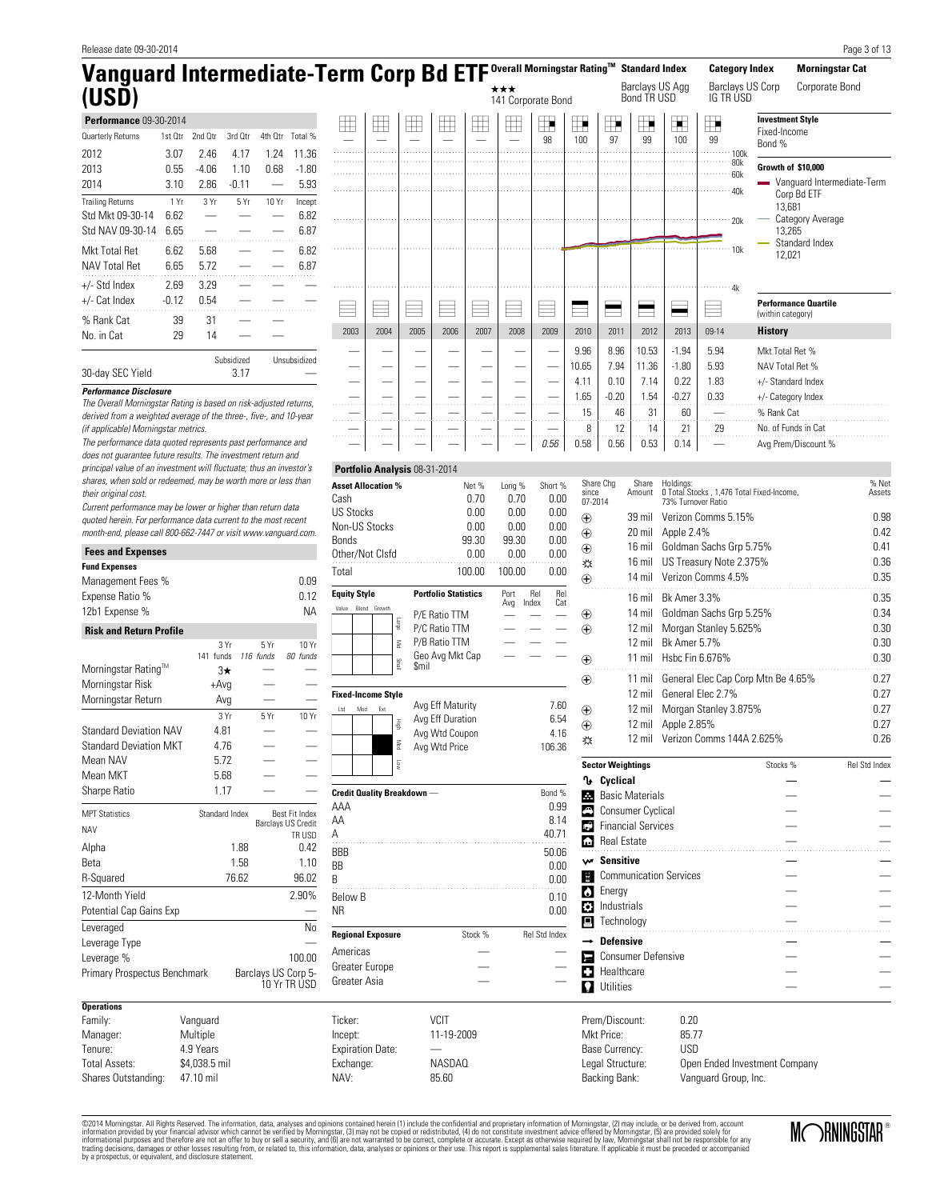| Release date 09-30-2014                                                                                   |              |                            |                |                          |                                      |                                   |                               |                         |                                |                             |                           |               |                      |                                   |                           |                               |                                                       |                                          |                             | Page 3 of 13               |
|-----------------------------------------------------------------------------------------------------------|--------------|----------------------------|----------------|--------------------------|--------------------------------------|-----------------------------------|-------------------------------|-------------------------|--------------------------------|-----------------------------|---------------------------|---------------|----------------------|-----------------------------------|---------------------------|-------------------------------|-------------------------------------------------------|------------------------------------------|-----------------------------|----------------------------|
| Vanguard Intermediate-Term Corp Bd ETF Overall Morningstar Rating™                                        |              |                            |                |                          |                                      |                                   |                               |                         |                                |                             |                           |               |                      |                                   | <b>Standard Index</b>     |                               | <b>Category Index</b>                                 |                                          | <b>Morningstar Cat</b>      |                            |
| (USD)                                                                                                     |              |                            |                |                          |                                      |                                   |                               |                         |                                |                             | ***<br>141 Corporate Bond |               |                      |                                   | Bond TR USD               | Barclays US Agg               | Barclays US Corp<br>IG TRÚSD                          |                                          | Corporate Bond              |                            |
| Performance 09-30-2014                                                                                    |              |                            |                |                          |                                      | $\boxplus$                        | $\boxplus$                    | $\boxplus$              | $\boxplus$                     | $\boxplus$                  | $\boxplus$                | $\mathbb{H}$  | $\blacksquare$       | $\blacksquare$                    | ⊞                         |                               | $\blacksquare$                                        | <b>Investment Style</b>                  |                             |                            |
| Quarterly Returns                                                                                         | 1st Qtr      | 2nd Otr                    | 3rd Qtr        | 4th Qtr                  | Total %                              | ÷.                                |                               |                         |                                | $\overline{\phantom{0}}$    |                           | 98            | 100                  | 97                                | 99                        | 100                           | 99                                                    | Fixed-Income<br>Bond %                   |                             |                            |
| 2012                                                                                                      | 3.07         | 2.46                       | 4.17           | 1.24                     | 11.36                                |                                   |                               |                         | 1.1.1.1<br>.                   |                             | .<br>.                    | .             | .<br>1.11111111      | .<br>.                            | .<br>.                    | ولادون                        | $\cdots$ $\cdots$ 100k<br>$-80k$                      |                                          |                             |                            |
| 2013                                                                                                      | 0.55         | $-4.06$                    | 1.10           | 0.68                     | $-1.80$                              |                                   |                               |                         |                                |                             |                           |               | $\ddot{\phantom{a}}$ |                                   |                           |                               | 60k                                                   | Growth of \$10,000                       |                             |                            |
| 2014                                                                                                      | 3.10         | 2.86                       | $-0.11$        |                          | 5.93                                 |                                   |                               |                         |                                |                             |                           |               |                      |                                   |                           |                               | 40k                                                   | and the                                  | Corp Bd ETF                 | Vanguard Intermediate-Term |
| <b>Trailing Returns</b>                                                                                   | 1 Yr         | 3 Yr                       | 5 Yr           | 10 Yr                    | Incept                               |                                   |                               |                         |                                |                             |                           |               |                      |                                   |                           |                               |                                                       | 13,681                                   |                             |                            |
| Std Mkt 09-30-14                                                                                          | 6.62         | $\overline{\phantom{0}}$   |                | $\overline{\phantom{0}}$ | 6.82                                 |                                   |                               |                         |                                |                             |                           |               |                      |                                   |                           |                               | .20k                                                  |                                          | Category Average            |                            |
| Std NAV 09-30-14 6.65                                                                                     |              |                            |                |                          | 6.87                                 |                                   |                               |                         |                                |                             |                           |               |                      |                                   |                           |                               |                                                       | 13,265                                   | Standard Index              |                            |
| Mkt Total Ret<br><b>NAV Total Ret</b>                                                                     | 6.62<br>6.65 | 5.68<br>5.72               |                |                          | 6.82<br>6.87                         |                                   |                               |                         |                                |                             |                           |               |                      |                                   |                           |                               | 10k                                                   | 12,021                                   |                             |                            |
|                                                                                                           |              |                            |                |                          |                                      |                                   |                               |                         |                                |                             |                           |               |                      |                                   |                           |                               |                                                       |                                          |                             |                            |
| +/- Std Index                                                                                             | 2.69         | 3.29                       |                |                          |                                      |                                   |                               |                         |                                |                             |                           |               |                      |                                   |                           |                               | · 4k                                                  |                                          |                             |                            |
| +/- Cat Index                                                                                             | $-0.12$      | 0.54                       | .              |                          |                                      |                                   |                               |                         |                                |                             |                           |               |                      |                                   |                           |                               |                                                       | (within category)                        | <b>Performance Quartile</b> |                            |
| % Rank Cat                                                                                                | 39           | 31                         |                |                          |                                      | 2003                              | 2004                          | 2005                    | 2006                           | 2007                        | 2008                      | 2009          | 2010                 | 2011                              | 2012                      | 2013                          | 09-14                                                 | <b>History</b>                           |                             |                            |
| No. in Cat                                                                                                | 29           | 14                         |                |                          |                                      |                                   |                               |                         |                                |                             |                           |               |                      |                                   |                           |                               |                                                       |                                          |                             |                            |
|                                                                                                           |              |                            | Subsidized     |                          | Unsubsidized                         |                                   |                               |                         |                                |                             |                           |               | 9.96                 | 8.96                              | 10.53                     | $-1.94$                       | 5.94                                                  | Mkt Total Ret %                          |                             |                            |
| 30-day SEC Yield                                                                                          |              |                            | 3.17           |                          |                                      |                                   |                               |                         |                                |                             |                           |               | 10.65                | 7.94                              | 11.36                     | $-1.80$                       | 5.93                                                  | NAV Total Ret %                          |                             |                            |
| <b>Performance Disclosure</b>                                                                             |              |                            |                |                          |                                      |                                   |                               |                         |                                |                             |                           |               | 4.11<br>1.65         | 0.10<br>$-0.20$                   | 7.14<br>1.54              | 0.22<br>$-0.27$               | 1.83<br>0.33                                          | +/- Standard Index<br>+/- Category Index |                             |                            |
| The Overall Morningstar Rating is based on risk-adjusted returns,                                         |              |                            |                |                          |                                      | .                                 | 1.1.1.1.1                     | .                       | .                              | .                           | وللمحادث                  |               | 15                   | 46                                | 31                        | 60                            |                                                       | % Rank Cat                               |                             |                            |
| derived from a weighted average of the three-, five-, and 10-year<br>(if applicable) Morningstar metrics. |              |                            |                |                          |                                      | .                                 | .                             | .                       | .                              |                             | $\sim$ $\sim$ $\sim$      | .             | 8                    | 12                                | 14                        | 21                            | $\ldots$ .<br>29                                      | No. of Funds in Cat                      |                             |                            |
| The performance data quoted represents past performance and                                               |              |                            |                |                          |                                      | .                                 |                               | .                       | .                              | $\sim$ $\sim$ $\sim$ $\sim$ | $\sim 1.1$ and $\sim 1.1$ | 0.56          | 0.58                 | 0.56                              | 0.53                      | 0.14                          |                                                       |                                          | Avg Prem/Discount %         |                            |
| does not guarantee future results. The investment return and                                              |              |                            |                |                          |                                      |                                   |                               |                         |                                |                             |                           |               |                      |                                   |                           |                               |                                                       |                                          |                             |                            |
| principal value of an investment will fluctuate; thus an investor's                                       |              |                            |                |                          |                                      |                                   | Portfolio Analysis 08-31-2014 |                         |                                |                             |                           |               |                      |                                   |                           |                               |                                                       |                                          |                             |                            |
| shares, when sold or redeemed, may be worth more or less than<br>their original cost.                     |              |                            |                |                          |                                      | <b>Asset Allocation %</b>         |                               |                         |                                | Net %                       | Long %                    | Short %       | since                | Share Chg                         | Share<br>Amount           | Holdings:                     | 0 Total Stocks, 1,476 Total Fixed-Income,             |                                          |                             | % Net<br>Assets            |
| Current performance may be lower or higher than return data                                               |              |                            |                |                          |                                      | Cash<br><b>US Stocks</b>          |                               |                         |                                | 0.70<br>0.00                | 0.70<br>0.00              | 0.00<br>0.00  |                      | 07-2014                           |                           | 73% Turnover Ratio            |                                                       |                                          |                             |                            |
| quoted herein. For performance data current to the most recent                                            |              |                            |                |                          |                                      | Non-US Stocks                     |                               |                         |                                | 0.00                        | 0.00                      | 0.00          | $_{\oplus}$          |                                   |                           |                               | 39 mil Verizon Comms 5.15%                            |                                          |                             | 0.98                       |
| month-end, please call 800-662-7447 or visit www.vanguard.com.                                            |              |                            |                |                          |                                      | <b>Bonds</b>                      |                               |                         |                                | 99.30                       | 99.30                     | 0.00          | $_{\oplus}$          |                                   | 20 mil                    | Apple 2.4%                    |                                                       |                                          |                             | 0.42                       |
| <b>Fees and Expenses</b>                                                                                  |              |                            |                |                          |                                      | Other/Not Clsfd                   |                               |                         |                                | 0.00                        | 0.00                      | 0.00          | $\bigoplus$<br>淼     |                                   | 16 mil<br>16 mil          |                               | Goldman Sachs Grp 5.75%<br>US Treasury Note 2.375%    |                                          |                             | 0.41<br>0.36               |
| <b>Fund Expenses</b>                                                                                      |              |                            |                |                          |                                      | Total                             |                               |                         |                                | 100.00                      | 100.00                    | 0.00          | $\bigoplus$          |                                   |                           |                               | 14 mil Verizon Comms 4.5%                             |                                          |                             | 0.35                       |
| Management Fees %<br>Expense Ratio %                                                                      |              |                            |                |                          | 0.09<br>0.12                         | <b>Equity Style</b>               |                               |                         | <b>Portfolio Statistics</b>    |                             | Port                      | Rel<br>Rel    |                      |                                   |                           |                               |                                                       |                                          |                             | 0.35                       |
| 12b1 Expense %                                                                                            |              |                            |                |                          | <b>NA</b>                            | Value                             | Blend Growth                  |                         |                                |                             | Avg                       | Cat<br>Index  |                      |                                   |                           | 16 mil Bk Amer 3.3%           | 14 mil Goldman Sachs Grp 5.25%                        |                                          |                             | 0.34                       |
|                                                                                                           |              |                            |                |                          |                                      |                                   |                               | эблет                   | P/E Ratio TTM<br>P/C Ratio TTM |                             |                           |               | $^\circledR$<br>⊕    |                                   | 12 mil                    |                               | Morgan Stanley 5.625%                                 |                                          |                             | 0.30                       |
| <b>Risk and Return Profile</b>                                                                            |              |                            | 3 Yr           | 5Yr                      | 10 Yr                                |                                   |                               | $\leqq$                 | P/B Ratio TTM                  |                             |                           |               |                      |                                   | $12$ mil                  | <b>Bk Amer 5.7%</b>           |                                                       |                                          |                             | 0.30                       |
|                                                                                                           |              | 141 funds                  |                | 116 funds                | 80 funds                             |                                   |                               |                         | Geo Avg Mkt Cap                |                             |                           |               | $\bigoplus$          |                                   |                           | 11 mil Hsbc Fin 6.676%        |                                                       |                                          |                             | 0.30                       |
| Morningstar Rating <sup>1M</sup>                                                                          |              |                            | $3\star$       |                          |                                      |                                   |                               | llentS<br><b>Smil</b>   |                                |                             |                           |               | ⊕                    |                                   |                           |                               | 11 mil General Elec Cap Corp Mtn Be 4.65%             |                                          |                             | 0.27                       |
| Morningstar Risk                                                                                          |              |                            | +Avg           |                          |                                      | <b>Fixed-Income Style</b>         |                               |                         |                                |                             |                           |               |                      |                                   | $12 \text{ mil}$          |                               | General Elec 2.7%                                     |                                          |                             | 0.27                       |
| Morningstar Return                                                                                        |              |                            | Avg            |                          |                                      | Mod<br>Ltd                        | Ext                           |                         | Avg Eff Maturity               |                             |                           | 7.60          | $\bigoplus$          |                                   |                           |                               | 12 mil Morgan Stanley 3.875%                          |                                          |                             | 0.27                       |
|                                                                                                           |              |                            | 3Yr            | 5Yr                      | 10 Yr                                |                                   |                               |                         | Avg Eff Duration               |                             |                           | 6.54          | $\bigoplus$          |                                   |                           | 12 mil Apple 2.85%            |                                                       |                                          |                             | 0.27                       |
| <b>Standard Deviation NAV</b><br><b>Standard Deviation MKT</b>                                            |              |                            | 4.81<br>4.76   |                          |                                      |                                   |                               | Med                     | Avg Wtd Coupon                 |                             |                           | 4.16          | 淼                    |                                   |                           |                               | 12 mil Verizon Comms 144A 2.625%                      |                                          |                             | 0.26                       |
| Mean NAV                                                                                                  |              |                            | 5.72           |                          |                                      |                                   |                               |                         | Avg Wtd Price                  |                             |                           | 106.36        |                      |                                   |                           |                               |                                                       |                                          |                             |                            |
| Mean MKT                                                                                                  |              |                            | 5.68           |                          |                                      |                                   |                               | $\overline{\mathbb{S}}$ |                                |                             |                           |               |                      | <b>Sector Weightings</b>          |                           |                               |                                                       | Stocks %                                 |                             | Rel Std Index              |
| Sharpe Ratio                                                                                              |              |                            | 1.17           |                          |                                      | <b>Credit Quality Breakdown</b> - |                               |                         |                                |                             |                           | Bond %        |                      | <b>1</b> Cyclical                 | <b>Basic Materials</b>    |                               |                                                       |                                          |                             |                            |
|                                                                                                           |              |                            |                |                          |                                      | AAA                               |                               |                         |                                |                             |                           | 0.99          | е                    | Consumer Cyclical                 |                           |                               |                                                       |                                          |                             |                            |
| <b>MPT Statistics</b>                                                                                     |              |                            | Standard Index |                          | Best Fit Index<br>Barclays US Credit | AΑ                                |                               |                         |                                |                             |                           | 8.14          |                      | <b>C</b> Financial Services       |                           |                               |                                                       |                                          |                             |                            |
| <b>NAV</b>                                                                                                |              |                            |                |                          | TR USD                               | Α                                 |                               |                         |                                |                             |                           | 40.71         | œ                    | Real Estate                       |                           |                               |                                                       |                                          |                             |                            |
| Alpha                                                                                                     |              |                            | 1.88           |                          | 0.42                                 | BBB                               |                               |                         |                                |                             |                           | 50.06         |                      |                                   |                           |                               |                                                       |                                          |                             |                            |
| Beta                                                                                                      |              |                            | 1.58           |                          | 1.10                                 | BB                                |                               |                         |                                |                             |                           | 0.00          |                      | w Sensitive                       |                           |                               |                                                       |                                          |                             |                            |
| R-Squared                                                                                                 |              |                            | 76.62          |                          | 96.02                                | B                                 |                               |                         |                                |                             |                           | 0.00          | Fa<br>$\bullet$      | Energy                            |                           | <b>Communication Services</b> |                                                       |                                          |                             |                            |
| 12-Month Yield                                                                                            |              |                            |                |                          | 2.90%                                | <b>Below B</b>                    |                               |                         |                                |                             |                           | 0.10          |                      | <b>3</b> Industrials              |                           |                               |                                                       |                                          |                             |                            |
| Potential Cap Gains Exp                                                                                   |              |                            |                |                          |                                      | ΝR                                |                               |                         |                                |                             |                           | 0.00          | Д                    | Technology                        |                           |                               |                                                       |                                          |                             |                            |
| Leveraged                                                                                                 |              |                            |                |                          | No                                   | <b>Regional Exposure</b>          |                               |                         |                                | Stock %                     |                           | Rel Std Index |                      | <b>Defensive</b>                  |                           |                               |                                                       |                                          |                             |                            |
| Leverage Type<br>Leverage %                                                                               |              |                            |                |                          | 100.00                               | Americas                          |                               |                         |                                |                             |                           |               | е                    |                                   | <b>Consumer Defensive</b> |                               |                                                       |                                          |                             |                            |
| Primary Prospectus Benchmark                                                                              |              |                            |                |                          | Barclays US Corp 5-                  | Greater Europe                    |                               |                         |                                |                             |                           |               | o                    | Healthcare                        |                           |                               |                                                       |                                          |                             |                            |
|                                                                                                           |              |                            |                |                          | 10 Yr TR USD                         | Greater Asia                      |                               |                         |                                |                             |                           |               |                      | <b>Q</b> Utilities                |                           |                               |                                                       |                                          |                             |                            |
| <b>Operations</b>                                                                                         |              |                            |                |                          |                                      |                                   |                               |                         |                                |                             |                           |               |                      |                                   |                           |                               |                                                       |                                          |                             |                            |
| Family:                                                                                                   |              | Vanguard                   |                |                          |                                      | Ticker:                           |                               |                         | <b>VCIT</b>                    |                             |                           |               |                      | Prem/Discount:                    |                           | 0.20                          |                                                       |                                          |                             |                            |
| Manager:                                                                                                  |              | Multiple                   |                |                          |                                      | Incept:                           |                               |                         | 11-19-2009                     |                             |                           |               |                      | Mkt Price:                        |                           | 85.77                         |                                                       |                                          |                             |                            |
| Tenure:                                                                                                   |              | 4.9 Years                  |                |                          |                                      | <b>Expiration Date:</b>           |                               |                         |                                |                             |                           |               |                      | Base Currency:                    |                           | <b>USD</b>                    |                                                       |                                          |                             |                            |
| <b>Total Assets:</b><br>Shares Outstanding:                                                               |              | \$4,038.5 mil<br>47.10 mil |                |                          |                                      | Exchange:<br>NAV:                 |                               |                         | <b>NASDAQ</b><br>85.60         |                             |                           |               |                      | Legal Structure:<br>Backing Bank: |                           |                               | Open Ended Investment Company<br>Vanguard Group, Inc. |                                          |                             |                            |
|                                                                                                           |              |                            |                |                          |                                      |                                   |                               |                         |                                |                             |                           |               |                      |                                   |                           |                               |                                                       |                                          |                             |                            |

@2014 Morningstar, All Rights Reserved. The information, data, analyses and opinions contained heri (1) include the confidential and proprietary information provided by your financial advisor which cannot be verified by Mo

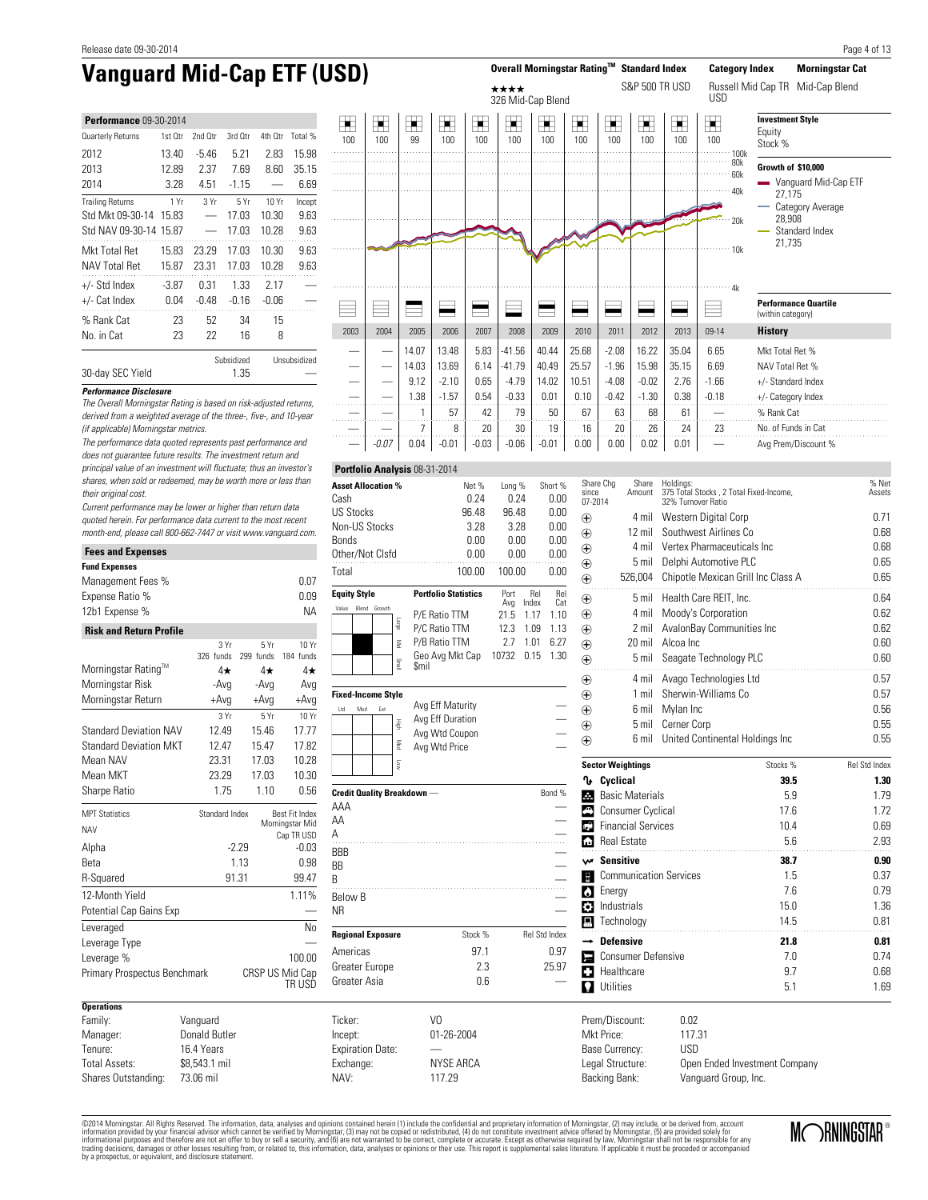| <b>Performance 09-30-2014</b> |         |         |            |         |              |  |  |  |  |  |  |  |
|-------------------------------|---------|---------|------------|---------|--------------|--|--|--|--|--|--|--|
| Quarterly Returns             | 1st Otr | 2nd Otr | 3rd Otr    | 4th Otr | Total %      |  |  |  |  |  |  |  |
| 2012                          | 13.40   | -5.46   | 5.21       | 2.83    | 15.98        |  |  |  |  |  |  |  |
| 2013                          | 12.89   | 2.37    | 7.69       | 8.60    | 35.15        |  |  |  |  |  |  |  |
| 2014                          | 3.28    | 4.51    | $-115$     |         | 6.69         |  |  |  |  |  |  |  |
| <b>Trailing Returns</b>       | 1 Yr    | 3Yr     | 5Yr        | 10 Yr   | Incept       |  |  |  |  |  |  |  |
| Std Mkt 09-30-14              | 15.83   |         | 17.03      | 10.30   | 9.63         |  |  |  |  |  |  |  |
| Std NAV 09-30-14              | 15.87   |         | 17.03      | 10.28   | 9.63         |  |  |  |  |  |  |  |
| Mkt Total Ret                 | 15.83   | 23.29   | 17.03      | 10.30   | 9.63         |  |  |  |  |  |  |  |
| <b>NAV Total Ret</b>          | 15.87   | 23.31   | 17.03      | 10.28   | 9.63         |  |  |  |  |  |  |  |
| $+/-$ Std Index               | $-3.87$ | 0.31    | 1.33       | 2.17    |              |  |  |  |  |  |  |  |
| +/- Cat Index                 | 0.04    | $-0.48$ | $-0.16$    | $-0.06$ |              |  |  |  |  |  |  |  |
| % Rank Cat                    | 23      | 52      | 34         | 15      |              |  |  |  |  |  |  |  |
| No. in Cat                    | 23      | 22      | 16         | 8       |              |  |  |  |  |  |  |  |
|                               |         |         | Subsidized |         | Unsubsidized |  |  |  |  |  |  |  |



The Overall Morningstar Rating is based on risk-adjusted returns, derived from a weighted average of the three-, five-, and 10-year

30-day SEC Yield 1.35

**Performance Disclosure**

٠

(if applicable) Morningstar metrics.

Current performance may be lower or higher than return data quoted herein. For performance data current to the most recent month-end, please call 800-662-7447 or visit www.vanguard.com.

| <b>Fees and Expenses</b>       |                      |           |                           |
|--------------------------------|----------------------|-----------|---------------------------|
| <b>Fund Expenses</b>           |                      |           |                           |
| Management Fees %              |                      |           | 0.07                      |
| Expense Ratio %                |                      |           | 0.09                      |
| 12b1 Expense %                 |                      |           | <b>NA</b>                 |
| <b>Risk and Return Profile</b> |                      |           |                           |
|                                | 3 Yr                 | 5Yr       | 10 Yr                     |
|                                | 326 funds            | 299 funds | 184 funds                 |
| Morningstar Rating™            | 4★                   | $4\star$  | 4★                        |
| Morningstar Risk               | -Avq                 | -Avg      | Avg                       |
| Morningstar Return             | $+Avg$               | $+Avg$    | $+Avg$                    |
|                                | 3 Yr                 | 5Yr       | 10 Yr                     |
| <b>Standard Deviation NAV</b>  | 12.49                | 15.46     | 17.77                     |
| <b>Standard Deviation MKT</b>  | 12.47                | 15.47     | 17.82                     |
| Mean NAV                       | 23.31                | 17.03     | 10.28                     |
| Mean MKT                       | 23.29                | 17.03     | 10.30                     |
| Sharpe Ratio                   | 1.75                 | 1.10      | 0.56                      |
| <b>MPT Statistics</b>          | Standard Index       |           | Best Fit Index            |
| <b>NAV</b>                     |                      |           | Morningstar Mid           |
| Alpha                          |                      | $-2.29$   | Cap TR USD<br>$-0.03$     |
| Beta                           |                      | 1.13      | 0.98                      |
| R-Squared                      |                      | 91.31     | 99.47                     |
| 12-Month Yield                 |                      |           | 1.11%                     |
|                                |                      |           |                           |
| Potential Cap Gains Exp        |                      |           |                           |
| Leveraged                      |                      |           | No                        |
| Leverage Type                  |                      |           |                           |
| Leverage %                     |                      |           | 100.00                    |
| Primary Prospectus Benchmark   |                      |           | CRSP US Mid Cap<br>TR USD |
| <b>Operations</b>              |                      |           |                           |
| Family:                        | Vanguard             |           |                           |
| Manager:                       | <b>Donald Butler</b> |           |                           |
| Tenure:                        | 16.4 Years           |           |                           |
| <b>Total Assets:</b>           | \$8,543.1 mil        |           |                           |
| Shares Outstanding:            | 73.06 mil            |           |                           |

| Asset Allocation %        | Net %                          | Long %      |              | Short %    |
|---------------------------|--------------------------------|-------------|--------------|------------|
| Cash                      | 0.24                           | 0.24        |              | 0.00       |
| US Stocks                 | 96.48                          | 96.48       |              | 0.00       |
| Non-US Stocks             | 3.28                           | 3.28        |              | 0.00       |
| Bonds                     | 0.00                           | 0.00        |              | 0.00       |
| Other/Not Clsfd           | 0.00                           | 0.00        |              | 0.00       |
| Total                     | 100.00                         | 100.00      |              | 0.00       |
| <b>Equity Style</b>       | <b>Portfolio Statistics</b>    | Port<br>Avg | Rel<br>Index | Rel<br>Cat |
| Value<br>Blend<br>Growth  | P/E Ratio TTM                  | 21.5        | 1.17         | 1.10       |
| etge                      | P/C Ratio TTM                  | 12.3        | 1.09         | 1.13       |
| Š                         | P/B Ratio TTM                  | 2.7         | 1.01         | 6.27       |
| lism                      | Geo Avg Mkt Cap 10732<br>\$mil |             | 0.15         | 1.30       |
| <b>Fixed-Income Style</b> |                                |             |              |            |
| Ltd<br>Mod<br>Ext         | Avg Eff Maturity               |             |              |            |
| High                      | Avg Eff Duration               |             |              |            |
|                           | Avg Wtd Coupon                 |             |              |            |
| Med                       | Avg Wtd Price                  |             |              |            |

—

**Portfolio Analysis** 08-31-2014

Low

| <b>Credit Quality Breakdown</b> - |            | Bond %               |
|-----------------------------------|------------|----------------------|
| AAA                               |            |                      |
| AA                                |            |                      |
| А                                 |            |                      |
| <b>BBB</b>                        |            |                      |
| BB                                |            |                      |
| B                                 |            |                      |
| Below B                           |            |                      |
| <b>NR</b>                         |            |                      |
| <b>Regional Exposure</b>          | Stock %    | <b>Rel Std Index</b> |
| Americas                          | 97.1       | 0.97                 |
| Greater Europe                    | 2.3        | 25.97                |
| Greater Asia                      | 0.6        |                      |
| Ticker:                           | VO         |                      |
| Incept:                           | 01-26-2004 |                      |

| Share Chg<br>since<br>07-2014 | Share<br>Amount             | Holdings:<br>375 Total Stocks, 2 Total Fixed-Income,<br>32% Turnover Ratio | % Net<br>Assets |               |
|-------------------------------|-----------------------------|----------------------------------------------------------------------------|-----------------|---------------|
| $_{\oplus}$                   | 4 mil                       | Western Digital Corp                                                       | 0.71            |               |
| $_{\oplus}$                   | 12 mil                      | Southwest Airlines Co                                                      | 0.68            |               |
| ⊕                             | 4 mil                       | Vertex Pharmaceuticals Inc.                                                |                 | 0.68          |
| ⊕                             | 5 mil                       | Delphi Automotive PLC                                                      | 0.65            |               |
| ⊕                             | 526,004                     | Chipotle Mexican Grill Inc Class A                                         |                 | 0.65          |
| $_{\oplus}$                   | 5 mil                       | Health Care REIT. Inc.                                                     |                 | 0.64          |
| ⊕                             | 4 mil                       | Moody's Corporation                                                        |                 | 0.62          |
| $_{\oplus}$                   | 2 mil                       | AvalonBay Communities Inc                                                  |                 | 0.62          |
| ⊕                             | 20 mil                      | Alcoa Inc                                                                  |                 | 0.60          |
| $_{\oplus}$                   | 5 mil                       | Seagate Technology PLC                                                     | .               | 0.60          |
| ⊕                             | 4 mil                       | Avago Technologies Ltd                                                     |                 | 0.57          |
| ⊕                             | $1$ mil                     | Sherwin-Williams Co                                                        |                 | 0.57          |
| ⊕                             | 6 mil                       | Mylan Inc                                                                  | 0.56            |               |
| ⊕                             | 5 mil                       | Cerner Corp                                                                | 0.55            |               |
| ⊕                             | 6 mil                       | United Continental Holdings Inc                                            |                 | 0.55          |
|                               | <b>Sector Weightings</b>    |                                                                            | Stocks %        | Rel Std Index |
| ∿                             | Cyclical                    |                                                                            | 39.5            | 1.30          |
| 로                             | <b>Basic Materials</b>      |                                                                            | 5.9             | 1.79          |
|                               | Consumer Cyclical           |                                                                            | 17.6            | 1.72          |
|                               | <b>C</b> Financial Services |                                                                            | 10.4            | 0.69          |
| Real Estate                   |                             |                                                                            | 2.93            |               |
| w Sensitive                   |                             |                                                                            | 38.7            | 0.90          |
| $\blacksquare$                |                             | <b>Communication Services</b>                                              | 1.5             | 0.37          |
| <b>C</b> Energy               |                             |                                                                            | 7.6             | 0.79          |
| <b>B</b> Industrials          |                             |                                                                            | 15.0            | 1.36          |
| Technology                    |                             |                                                                            | 14.5            | 0.81          |
| $\rightarrow$ Defensive       |                             |                                                                            | 21.8            | 0.81          |
|                               | Consumer Defensive          |                                                                            | 7.0             | 0.74          |
| C                             | Healthcare                  |                                                                            | 9.7             | 0.68          |
| Utilities<br>Ω                |                             |                                                                            | 5.1             | 1.69          |
|                               |                             |                                                                            |                 |               |

Prem/Discount: 0.02 Mkt Price: 117.31<br>Base Currency: USD Base Currency: Legal Structure: Open Ended Investment Company Backing Bank: Vanguard Group, Inc.

©2014 Morningstar. All Rights Reserved. The information, data, analyses and opinions contained herein (1) include the confidential and proprietary information of Morningstar, (2) may include, or be derived from, account<br>in by a prospectus, or equivalent, and disclosure statement.

Exchange: NYSE ARCA NAV: 117.29

Expiration Date:

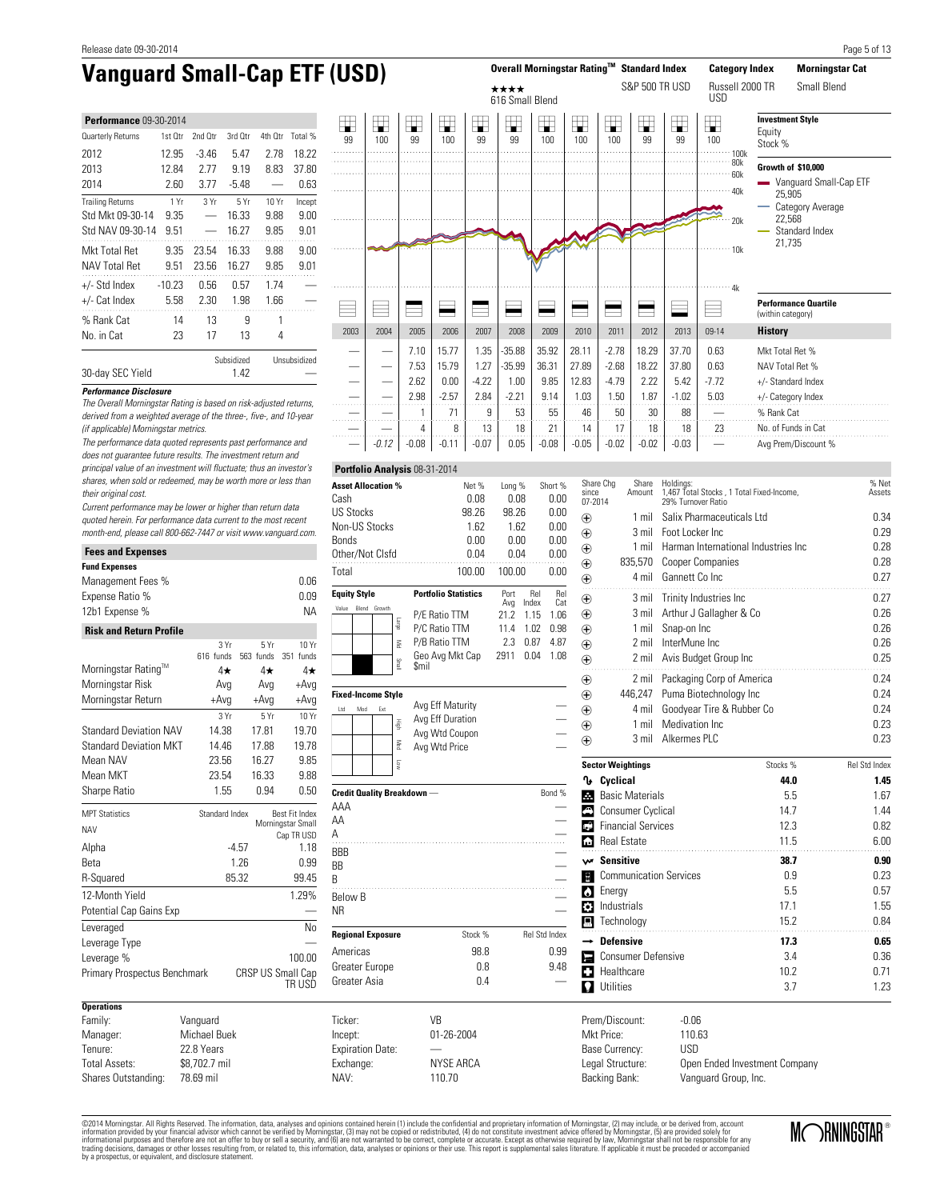| <b>Performance 09-30-2014</b> |          |         |            |         |              |  |  |  |  |  |  |  |  |
|-------------------------------|----------|---------|------------|---------|--------------|--|--|--|--|--|--|--|--|
| Quarterly Returns             | 1st Otr  | 2nd Otr | 3rd Otr    | 4th Otr | Total %      |  |  |  |  |  |  |  |  |
| 2012                          | 12.95    | $-3.46$ | 5.47       | 2.78    | 18.22        |  |  |  |  |  |  |  |  |
| 2013                          | 12.84    | 2 77    | 9.19       | 8.83    | 37.80        |  |  |  |  |  |  |  |  |
| 2014                          | 2.60     | 3.77    | $-5.48$    |         | 0.63         |  |  |  |  |  |  |  |  |
| <b>Trailing Returns</b>       | 1 Yr     | 3Yr     | 5Yr        | 10 Yr   | Incept       |  |  |  |  |  |  |  |  |
| Std Mkt 09-30-14              | 9.35     |         | 16.33      | 9.88    | 9.00         |  |  |  |  |  |  |  |  |
| Std NAV 09-30-14              | 9.51     |         | 16.27      | 9.85    | 9.01         |  |  |  |  |  |  |  |  |
| Mkt Total Ret                 | 9.35     | 23.54   | 16.33      | 9.88    | 9.00         |  |  |  |  |  |  |  |  |
| <b>NAV Total Ret</b>          | 9.51     | 23.56   | 16.27      | 9.85    | 9 N 1        |  |  |  |  |  |  |  |  |
| $+/-$ Std Index               | $-10.23$ | 0.56    | 0.57       | 1.74    |              |  |  |  |  |  |  |  |  |
| +/- Cat Index                 | 5.58     | 2.30    | 1.98       | 1.66    |              |  |  |  |  |  |  |  |  |
| % Rank Cat                    | 14       | 13      | 9          | 1       |              |  |  |  |  |  |  |  |  |
| No. in Cat                    | 23       | 17      | 13         | 4       |              |  |  |  |  |  |  |  |  |
|                               |          |         | Subsidized |         | Unsubsidized |  |  |  |  |  |  |  |  |



The Overall Morningstar Rating is based on risk-adjusted returns, derived from a weighted average of the three-, five-, and 10-year

30-day SEC Yield 1.42

**Performance Disclosure**

(if applicable) Morningstar metrics.

Current performance may be lower or higher than return data quoted herein. For performance data current to the most recent month-end, please call 800-662-7447 or visit www.vanguard.com.

| <b>Fees and Expenses</b>       |                   |                          |                    |  |  |  |  |  |  |
|--------------------------------|-------------------|--------------------------|--------------------|--|--|--|--|--|--|
| <b>Fund Expenses</b>           |                   |                          |                    |  |  |  |  |  |  |
| Management Fees %              |                   |                          | 0.06               |  |  |  |  |  |  |
| Expense Ratio %                |                   |                          | 0.09               |  |  |  |  |  |  |
| 12b1 Expense %                 |                   |                          | ΝA                 |  |  |  |  |  |  |
| <b>Risk and Return Profile</b> |                   |                          |                    |  |  |  |  |  |  |
|                                | 3 Yr<br>616 funds | 5Yr<br>563 funds         | 10 Yr<br>351 funds |  |  |  |  |  |  |
| Morningstar Rating™            | 4★                | $4\star$                 | 4★                 |  |  |  |  |  |  |
| Morningstar Risk               | Avg               | Avg                      | +Avq               |  |  |  |  |  |  |
| Morningstar Return             | $+Avg$            | $+Avg$                   | +Avg               |  |  |  |  |  |  |
|                                | 3Yr               | 5Yr                      | 10 Yr              |  |  |  |  |  |  |
| <b>Standard Deviation NAV</b>  | 14.38             | 17.81                    | 19.70              |  |  |  |  |  |  |
| <b>Standard Deviation MKT</b>  | 14.46             | 17.88                    | 19.78              |  |  |  |  |  |  |
| Mean NAV                       | 23.56             | 16.27                    | 9.85               |  |  |  |  |  |  |
| Mean MKT                       | 23.54             | 16.33                    | 9.88               |  |  |  |  |  |  |
| Sharpe Ratio                   | 1.55              | 0.94                     | 0.50               |  |  |  |  |  |  |
| <b>MPT Statistics</b>          | Standard Index    |                          | Best Fit Index     |  |  |  |  |  |  |
| <b>NAV</b>                     |                   |                          | Morningstar Small  |  |  |  |  |  |  |
| Alpha                          |                   | $-4.57$                  | Cap TR USD<br>1.18 |  |  |  |  |  |  |
| Reta                           |                   | 1.26                     | 0.99               |  |  |  |  |  |  |
| R-Squared                      |                   | 85.32                    | 99.45              |  |  |  |  |  |  |
| 12-Month Yield                 |                   |                          | 1.29%              |  |  |  |  |  |  |
| Potential Cap Gains Exp        |                   |                          |                    |  |  |  |  |  |  |
| Leveraged                      |                   |                          | No                 |  |  |  |  |  |  |
| Leverage Type                  |                   |                          |                    |  |  |  |  |  |  |
| Leverage %                     |                   |                          | 100.00             |  |  |  |  |  |  |
| Primary Prospectus Benchmark   |                   | <b>CRSP US Small Cap</b> |                    |  |  |  |  |  |  |
|                                |                   |                          | TR USD             |  |  |  |  |  |  |
| <b>Operations</b>              |                   |                          |                    |  |  |  |  |  |  |
| Family:                        | Vanguard          |                          |                    |  |  |  |  |  |  |
| Manager:                       | Michael Buek      |                          |                    |  |  |  |  |  |  |
| 22.8 Years<br>Tenure:          |                   |                          |                    |  |  |  |  |  |  |
| <b>Total Assets:</b>           | \$8,702.7 mil     |                          |                    |  |  |  |  |  |  |
| Shares Outstanding:            | 78.69 mil         |                          |                    |  |  |  |  |  |  |

| <b>Asset Allocation %</b> | Net %                       | Long %      |              | Short %    |
|---------------------------|-----------------------------|-------------|--------------|------------|
| Cash                      | 0.08                        | 0.08        |              | 0.00       |
| US Stocks                 | 98.26                       | 98.26       |              | 0.00       |
| Non-US Stocks             | 1.62                        |             | 0.00<br>1.62 |            |
| Bonds                     | 0.00                        | 0.00        |              | 0.00       |
| Other/Not Clsfd           | 0.04                        | 0.04        |              | 0.00       |
| Total                     | 100.00                      | 100.00      |              | 0.00       |
|                           |                             |             |              |            |
| <b>Equity Style</b>       | <b>Portfolio Statistics</b> | Port<br>Ava | Rel<br>Index | Rel<br>Cat |
| Growth<br>Value<br>Blend  | P/E Ratio TTM               | 21.2        | 1.15         | 1.06       |
|                           | ebien<br>P/C Ratio TTM      | 11.4        | 1.02         | 0.98       |
|                           | P/B Ratio TTM<br>Š          | 2.3         | 0.87         | 4.87       |

—

**Portfolio Analysis** 08-31-2014

| <b>Fixed-Income Style</b> |     |     |                      |                                                                         |        |
|---------------------------|-----|-----|----------------------|-------------------------------------------------------------------------|--------|
| Ltd                       | Mod | Ext | 毒<br>Med<br><b>S</b> | Avg Eff Maturity<br>Avg Eff Duration<br>Avg Wtd Coupon<br>Avg Wtd Price |        |
| AAA<br>AA                 |     |     |                      | <b>Credit Quality Breakdown</b> -                                       | Bond % |

 $\overline{A}$   $\qquad \qquad$ BBB —  $\overline{\phantom{a}}$ BB B and  $\overline{B}$ Below B  $\qquad$   $\qquad$   $\qquad$   $\qquad$   $\qquad$   $\qquad$   $\qquad$   $\qquad$   $\qquad$   $\qquad$   $\qquad$   $\qquad$   $\qquad$   $\qquad$   $\qquad$   $\qquad$   $\qquad$   $\qquad$   $\qquad$   $\qquad$   $\qquad$   $\qquad$   $\qquad$   $\qquad$   $\qquad$   $\qquad$   $\qquad$   $\qquad$   $\qquad$   $\qquad$   $\qquad$   $\qquad$   $\qquad$   $\qquad$   $\qquad$   $\q$  $N$ R  $-$ **Regional Exposure** Stock % Rel Std Index Americas 98.8 0.99 Greater Europe 0.8 9.48 Greater Asia  $\overline{0.4}$  and  $\overline{0.4}$  and  $\overline{0.4}$  and  $\overline{0.4}$  and  $\overline{0.4}$  and  $\overline{0.4}$  and  $\overline{0.4}$  and  $\overline{0.4}$  and  $\overline{0.4}$  and  $\overline{0.4}$  and  $\overline{0.4}$  and  $\overline{0.4}$  and  $\overline{0.4}$  and  $\overline{0.4}$  and

| Share Chg              | Share                         | Holdings:                                                       | % Net                |
|------------------------|-------------------------------|-----------------------------------------------------------------|----------------------|
| since<br>07-2014       | Amount                        | 1,467 Total Stocks, 1 Total Fixed-Income,<br>29% Turnover Ratio | Assets               |
| $_{\oplus}$            | 1 mil                         | Salix Pharmaceuticals Ltd                                       | 0.34                 |
| $\bigoplus$            | 3 mil                         | Foot Locker Inc.                                                | 0.29                 |
| $\bigoplus$            | 1 mil                         | Harman International Industries Inc.                            | 0.28                 |
| $_{\oplus}$            | 835,570                       | <b>Cooper Companies</b>                                         | 0.28                 |
| $_{\oplus}$            | 4 mil                         | Gannett Co Inc                                                  | 0.27                 |
| $\bigoplus$            | 3 mil                         | Trinity Industries Inc                                          | 0.27                 |
| $\bigoplus$            | 3 mil                         | Arthur J Gallagher & Co                                         | 0.26                 |
| $_{\oplus}$            | $1$ mil                       | Snap-on Inc                                                     | 0.26                 |
| $\bigoplus$            | 2 mil                         | InterMune Inc.                                                  | 0.26                 |
| $_{\oplus}$            | 2 mil                         | Avis Budget Group Inc                                           | 0.25                 |
| $\bigoplus$            | 2 mil                         | Packaging Corp of America                                       | 0.24                 |
| $\bigoplus$            | 446,247                       | 0.24                                                            |                      |
| $\bigoplus$            | 4 mil                         | Goodyear Tire & Rubber Co                                       | 0.24                 |
| $\bigoplus$            | $1$ mil                       | Medivation Inc                                                  | 0.23                 |
| $\bigoplus$            | 3 mil                         | Alkermes PLC                                                    | 0.23                 |
|                        | <b>Sector Weightings</b>      | Stocks %                                                        | <b>Rel Std Index</b> |
| ባ∗                     | Cyclical                      | 44.0                                                            | 1.45                 |
| Æ.                     | <b>Basic Materials</b>        | 5.5                                                             | 1.67                 |
|                        | Consumer Cyclical             | 14.7                                                            | 1.44                 |
| гĴ                     | <b>Financial Services</b>     | 12.3                                                            | 0.82                 |
| A                      | <b>Real Estate</b>            | 11.5                                                            | 6.00                 |
| w Sensitive            |                               | 38.7                                                            | 0.90                 |
| H                      | <b>Communication Services</b> | 0.9                                                             | 0.23                 |
| <b>Colla</b> Energy    |                               | 5.5                                                             | 0.57                 |
| м                      | Industrials                   | 17.1                                                            | 1.55                 |
|                        | $\blacksquare$ Technology     | 15.2                                                            | 0.84                 |
|                        | <b>Defensive</b>              | 17.3                                                            | 0.65                 |
|                        | <b>Consumer Defensive</b>     | 3.4                                                             | 0.36                 |
|                        | Healthcare                    | 10.2                                                            | 0.71                 |
|                        | <b>Utilities</b>              | 3.7                                                             | 1.23                 |
|                        | Prem/Discount:                | -0.06                                                           |                      |
| M <sub>kt</sub> Prico: |                               | 110.62                                                          |                      |

Mkt Price: 110.63 Base Currency: Legal Structure: Open Ended Investment Company Backing Bank: Vanguard Group, Inc.

©2014 Morningstar. All Rights Reserved. The information, data, analyses and opinions contained herein (1) include the confidential and proprietary information of Morningstar, (2) may include, or be derived from, account<br>in by a prospectus, or equivalent, and disclosure statement.

110.70

Ticker: VB Incept: 01-26-2004

Exchange: NYSE ARCA<br>
NAV: 110.70

Expiration Date:

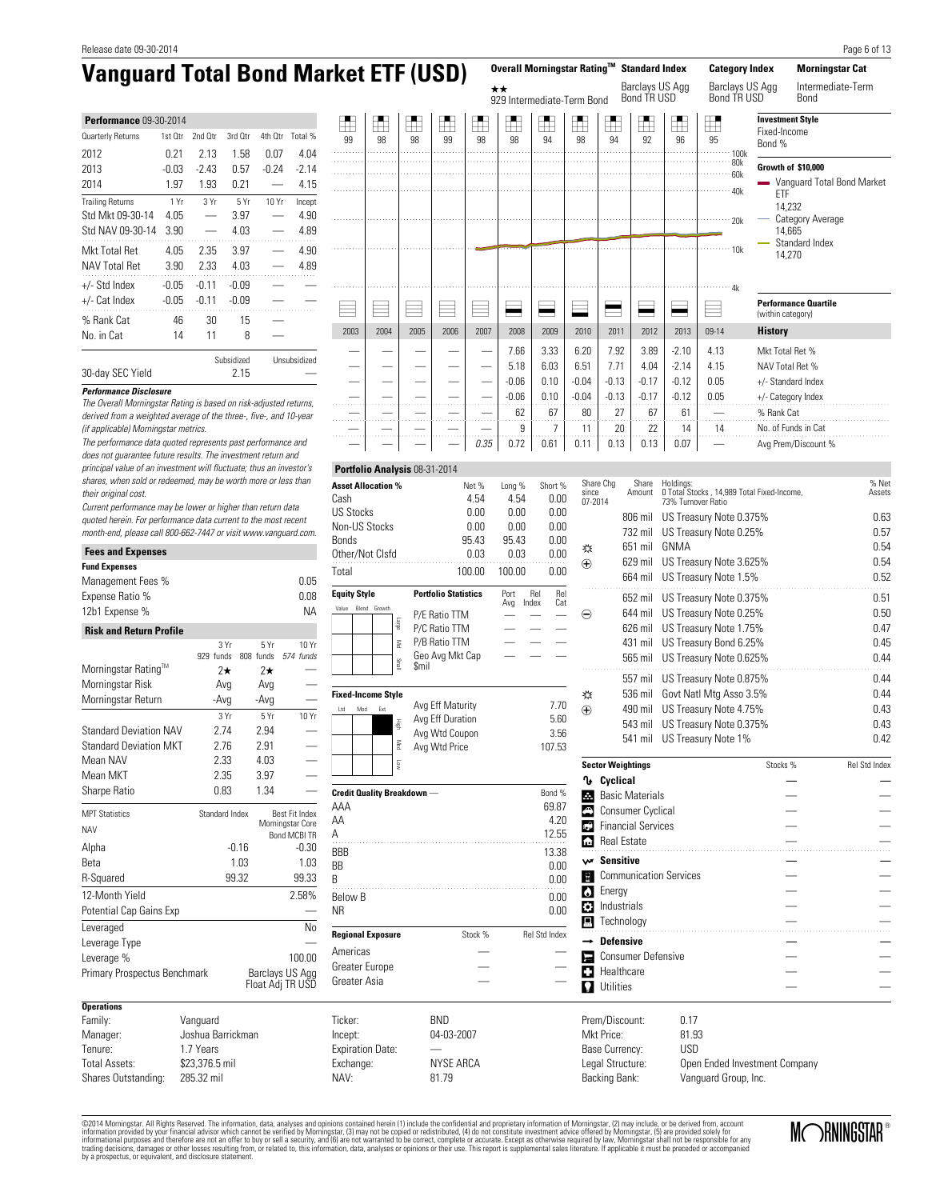| <b>Performance 09-30-2014</b> |         |                |            |         |              |  |  |  |  |  |  |  |  |
|-------------------------------|---------|----------------|------------|---------|--------------|--|--|--|--|--|--|--|--|
| Quarterly Returns             | 1st Otr | 2nd Otr        | 3rd Otr    | 4th Otr | Total %      |  |  |  |  |  |  |  |  |
| 2012                          | 0.21    | 2.13           | 1.58       | 0.07    | 4.04         |  |  |  |  |  |  |  |  |
| 2013                          | -0.03   | -2.43          | 0.57       | -0.24   | $-2.14$      |  |  |  |  |  |  |  |  |
| 2014                          | 1.97    | 1.93           | 0.21       |         | 4.15         |  |  |  |  |  |  |  |  |
| <b>Trailing Returns</b>       | 1 Yr    | 3Yr            | 5Yr        | 10 Yr   | Incept       |  |  |  |  |  |  |  |  |
| Std Mkt 09-30-14              | 4.05    |                | 3.97       |         | 4.90         |  |  |  |  |  |  |  |  |
| Std NAV 09-30-14              | 3.90    |                | 4.03       |         | 4.89         |  |  |  |  |  |  |  |  |
| Mkt Total Ret                 | 4.05    | 2.35           | 3.97       |         | 4.90         |  |  |  |  |  |  |  |  |
| NAV Total Ret                 | 3.90    | 2.33           | 4.03       |         | 4.89         |  |  |  |  |  |  |  |  |
| +/- Std Index                 | $-0.05$ | -0.11          | $-0.09$    |         |              |  |  |  |  |  |  |  |  |
| +/- Cat Index                 | $-0.05$ | -0.09<br>-0.11 |            |         |              |  |  |  |  |  |  |  |  |
| % Rank Cat                    | 46      | 30             | 15         |         |              |  |  |  |  |  |  |  |  |
| No. in Cat                    | 14      | 11             | 8          |         |              |  |  |  |  |  |  |  |  |
|                               |         |                | Subsidized |         | Unsubsidized |  |  |  |  |  |  |  |  |

| <b>Vanguard Total Bond Market ETF (USD)</b>                                                        |         |         |                    |         |              |         |      |      |       |         |              |      |                            |         | Overall Morningstar Rating™ Standard Index |         | <b>Category Index</b>                | <b>Morningstar Cat</b>           |
|----------------------------------------------------------------------------------------------------|---------|---------|--------------------|---------|--------------|---------|------|------|-------|---------|--------------|------|----------------------------|---------|--------------------------------------------|---------|--------------------------------------|----------------------------------|
|                                                                                                    |         |         |                    |         |              |         |      |      |       |         | $\star\star$ |      | 929 Intermediate-Term Bond |         | Barclays US Agg<br>Bond TR USD             |         | Barclays US Agg<br>Bond TR USD       | Intermediate-Term<br><b>Bond</b> |
| <b>Performance 09-30-2014</b>                                                                      |         |         |                    |         |              | ш.<br>Æ | H    | ₫    | $\pm$ | л.<br>F | ĦŦ           | H    | ĦŦ                         | Ħ       |                                            |         | Ŧ                                    | <b>Investment Style</b>          |
| Quarterly Returns                                                                                  | 1st Otr | 2nd Otr | 3rd Otr            | 4th Otr | Total %      | 99      | 98   | 98   | 99    | 98      | 98           | 94   | 98                         | 94      | ╫<br>92                                    | 96      | 95                                   | Fixed-Income<br>Bond %           |
| 2012                                                                                               | 0.21    | 2.13    | 1.58               | 0.07    | 4.04         |         |      |      |       |         |              |      |                            |         |                                            |         | .100k                                |                                  |
| 2013                                                                                               | $-0.03$ | $-2.43$ | 0.57               | $-0.24$ | $-2.14$      |         |      |      |       |         |              |      |                            |         |                                            |         | $-80k$<br>$\cdots \cdots \cdots$ 60k | Growth of \$10,000               |
| 2014                                                                                               | 1.97    | 1.93    | 0.21               |         | 4.15         |         |      |      |       |         |              |      |                            |         |                                            |         |                                      | Vanguard Total Bond Market       |
| <b>Trailing Returns</b>                                                                            | 1 Yr    | 3 Yr    | 5Yr                | 10 Yr   | Incept       |         |      |      |       |         |              |      |                            |         |                                            |         | 40k                                  | <b>FTF</b><br>14,232             |
| Std Mkt 09-30-14                                                                                   | 4.05    |         | 3.97               |         | 4.90         |         |      |      |       |         |              |      |                            |         |                                            |         | 20k                                  | Category Average                 |
| Std NAV 09-30-14                                                                                   | 3.90    |         | 4.03               |         | 4.89         |         |      |      |       |         |              |      |                            |         |                                            |         |                                      | 14.665                           |
| Mkt Total Ret                                                                                      | 4.05    | 2.35    | 3.97               |         | 4.90         |         |      |      |       |         |              |      |                            |         |                                            |         | 10k                                  | Standard Index<br>14,270         |
| <b>NAV Total Ret</b>                                                                               | 3.90    | 2.33    | 4.03               |         | 4.89         |         |      |      |       |         |              |      |                            |         |                                            |         |                                      |                                  |
| +/- Std Index                                                                                      | $-0.05$ | $-0.11$ | $-0.09$            |         |              |         |      |      |       |         |              |      |                            |         |                                            |         |                                      |                                  |
| +/- Cat Index                                                                                      | $-0.05$ | $-0.11$ | $-0.09$            |         |              |         |      |      |       |         |              |      |                            |         |                                            |         |                                      | <b>Performance Quartile</b>      |
| % Rank Cat                                                                                         | 46      | 30      | 15                 |         |              |         |      |      |       |         |              |      |                            |         | e e                                        |         |                                      | (within category)                |
| No. in Cat                                                                                         | 14      | 11      | 8                  |         |              | 2003    | 2004 | 2005 | 2006  | 2007    | 2008         | 2009 | 2010                       | 2011    | 2012                                       | 2013    | 09-14                                | <b>History</b>                   |
|                                                                                                    |         |         |                    |         |              |         |      |      |       |         | 7.66         | 3.33 | 6.20                       | 7.92    | 3.89                                       | $-2.10$ | 4.13                                 | Mkt Total Ret %                  |
| 30-day SEC Yield                                                                                   |         |         | Subsidized<br>2.15 |         | Unsubsidized |         |      |      |       |         | 5.18         | 6.03 | 6.51                       | 7.71    | 4.04                                       | $-2.14$ | 4.15                                 | NAV Total Ret %                  |
|                                                                                                    |         |         |                    |         |              |         |      |      |       |         | $-0.06$      | 0.10 | $-0.04$                    | $-0.13$ | $-0.17$                                    | $-0.12$ | 0.05                                 | +/- Standard Index               |
| <b>Performance Disclosure</b><br>The Overall Morningstar Rating is based on risk-adjusted returns, |         |         |                    |         |              |         |      |      |       |         | $-0.06$      | 0.10 | $-0.04$                    | $-0.13$ | $-0.17$                                    | $-0.12$ | 0.05                                 | +/- Category Index               |
| derived from a weighted average of the three-, five-, and 10-year                                  |         |         |                    |         |              |         |      |      |       |         | 62           | 67   | 80                         | 27      | 67                                         | 61      |                                      | % Rank Cat                       |
| (if applicable) Morningstar metrics.                                                               |         |         |                    |         |              |         |      |      |       |         | 9            |      | 11                         | 20      | 22                                         | 14      | 14                                   | No. of Funds in Cat              |
| The performance data quoted represents past performance and                                        |         |         |                    |         |              |         |      |      |       | 0.35    | 0.72         | 0.61 | 0.11                       | 0.13    | 0.13                                       | 0.07    |                                      | Avg Prem/Discount %              |
| doge not quarantoo futuro roculte. The invoctment return and                                       |         |         |                    |         |              |         |      |      |       |         |              |      |                            |         |                                            |         |                                      |                                  |

×

Current performance may be lower or higher than return data quoted herein. For performance data current to the most recent month-end, please call 800-662-7447 or visit www.vanguard.com.

| <b>Risk and Return Profile</b><br>3 Yr<br>5Yr<br>808 funds<br>929 funds<br>574 funds<br>Morningstar Rating™<br>$2\star$<br>$2\star$<br>Morningstar Risk<br>Avg<br>Avg<br>Morningstar Return<br>-Avq<br>-Avq<br>3 Yr<br>5Yr<br>10 Yr<br><b>Standard Deviation NAV</b><br>2.74<br>2.94<br><b>Standard Deviation MKT</b><br>2.76<br>2.91<br>Mean NAV<br>2.33<br>4.03<br>Mean MKT<br>2.35<br>3.97<br>Sharpe Ratio<br>0.83<br>1.34<br>Standard Index<br>Best Fit Index<br>Morningstar Core<br>Bond MCBI TR<br>$-0.16$<br>1.03<br>R-Squared<br>99.32<br>2.58%<br>Potential Cap Gains Exp<br>Leveraged<br>Leverage Type<br>Leverage %<br>Barclays US Agg<br>Primary Prospectus Benchmark<br>Float Adj TR USD<br><b>Operations</b><br>Family:<br>Vanguard<br>Joshua Barrickman<br>Manager:<br>1.7 Years<br>\$23,376.5 mil | <b>Fees and Expenses</b> |            |           |
|-------------------------------------------------------------------------------------------------------------------------------------------------------------------------------------------------------------------------------------------------------------------------------------------------------------------------------------------------------------------------------------------------------------------------------------------------------------------------------------------------------------------------------------------------------------------------------------------------------------------------------------------------------------------------------------------------------------------------------------------------------------------------------------------------------------------|--------------------------|------------|-----------|
|                                                                                                                                                                                                                                                                                                                                                                                                                                                                                                                                                                                                                                                                                                                                                                                                                   | <b>Fund Expenses</b>     |            |           |
|                                                                                                                                                                                                                                                                                                                                                                                                                                                                                                                                                                                                                                                                                                                                                                                                                   | Management Fees %        |            | 0.05      |
|                                                                                                                                                                                                                                                                                                                                                                                                                                                                                                                                                                                                                                                                                                                                                                                                                   | Expense Ratio %          |            | 0.08      |
|                                                                                                                                                                                                                                                                                                                                                                                                                                                                                                                                                                                                                                                                                                                                                                                                                   | 12b1 Expense %           |            | <b>NA</b> |
|                                                                                                                                                                                                                                                                                                                                                                                                                                                                                                                                                                                                                                                                                                                                                                                                                   |                          |            |           |
|                                                                                                                                                                                                                                                                                                                                                                                                                                                                                                                                                                                                                                                                                                                                                                                                                   |                          |            | 10 Yr     |
|                                                                                                                                                                                                                                                                                                                                                                                                                                                                                                                                                                                                                                                                                                                                                                                                                   |                          |            |           |
|                                                                                                                                                                                                                                                                                                                                                                                                                                                                                                                                                                                                                                                                                                                                                                                                                   |                          |            |           |
|                                                                                                                                                                                                                                                                                                                                                                                                                                                                                                                                                                                                                                                                                                                                                                                                                   |                          |            |           |
|                                                                                                                                                                                                                                                                                                                                                                                                                                                                                                                                                                                                                                                                                                                                                                                                                   |                          |            |           |
|                                                                                                                                                                                                                                                                                                                                                                                                                                                                                                                                                                                                                                                                                                                                                                                                                   |                          |            |           |
|                                                                                                                                                                                                                                                                                                                                                                                                                                                                                                                                                                                                                                                                                                                                                                                                                   |                          |            |           |
|                                                                                                                                                                                                                                                                                                                                                                                                                                                                                                                                                                                                                                                                                                                                                                                                                   |                          |            |           |
|                                                                                                                                                                                                                                                                                                                                                                                                                                                                                                                                                                                                                                                                                                                                                                                                                   |                          |            |           |
|                                                                                                                                                                                                                                                                                                                                                                                                                                                                                                                                                                                                                                                                                                                                                                                                                   |                          |            |           |
|                                                                                                                                                                                                                                                                                                                                                                                                                                                                                                                                                                                                                                                                                                                                                                                                                   |                          |            |           |
|                                                                                                                                                                                                                                                                                                                                                                                                                                                                                                                                                                                                                                                                                                                                                                                                                   | <b>MPT Statistics</b>    |            |           |
|                                                                                                                                                                                                                                                                                                                                                                                                                                                                                                                                                                                                                                                                                                                                                                                                                   | <b>NAV</b>               |            |           |
|                                                                                                                                                                                                                                                                                                                                                                                                                                                                                                                                                                                                                                                                                                                                                                                                                   | Alpha                    |            | $-0.30$   |
|                                                                                                                                                                                                                                                                                                                                                                                                                                                                                                                                                                                                                                                                                                                                                                                                                   | Beta                     |            | 1.03      |
|                                                                                                                                                                                                                                                                                                                                                                                                                                                                                                                                                                                                                                                                                                                                                                                                                   |                          |            | 99.33     |
|                                                                                                                                                                                                                                                                                                                                                                                                                                                                                                                                                                                                                                                                                                                                                                                                                   | 12-Month Yield           |            |           |
|                                                                                                                                                                                                                                                                                                                                                                                                                                                                                                                                                                                                                                                                                                                                                                                                                   |                          |            |           |
|                                                                                                                                                                                                                                                                                                                                                                                                                                                                                                                                                                                                                                                                                                                                                                                                                   |                          |            | No        |
|                                                                                                                                                                                                                                                                                                                                                                                                                                                                                                                                                                                                                                                                                                                                                                                                                   |                          |            |           |
|                                                                                                                                                                                                                                                                                                                                                                                                                                                                                                                                                                                                                                                                                                                                                                                                                   |                          |            | 100.00    |
|                                                                                                                                                                                                                                                                                                                                                                                                                                                                                                                                                                                                                                                                                                                                                                                                                   |                          |            |           |
|                                                                                                                                                                                                                                                                                                                                                                                                                                                                                                                                                                                                                                                                                                                                                                                                                   |                          |            |           |
|                                                                                                                                                                                                                                                                                                                                                                                                                                                                                                                                                                                                                                                                                                                                                                                                                   |                          |            |           |
|                                                                                                                                                                                                                                                                                                                                                                                                                                                                                                                                                                                                                                                                                                                                                                                                                   |                          |            |           |
|                                                                                                                                                                                                                                                                                                                                                                                                                                                                                                                                                                                                                                                                                                                                                                                                                   | Tenure:                  |            |           |
|                                                                                                                                                                                                                                                                                                                                                                                                                                                                                                                                                                                                                                                                                                                                                                                                                   | <b>Total Assets:</b>     |            |           |
|                                                                                                                                                                                                                                                                                                                                                                                                                                                                                                                                                                                                                                                                                                                                                                                                                   | Shares Outstanding:      | 285.32 mil |           |

| Portfolio Analysis 08-31-2014                                                                                      |                                                                                   |                                                                                                                      |                                                                                                                                                                                                                           |
|--------------------------------------------------------------------------------------------------------------------|-----------------------------------------------------------------------------------|----------------------------------------------------------------------------------------------------------------------|---------------------------------------------------------------------------------------------------------------------------------------------------------------------------------------------------------------------------|
| <b>Asset Allocation %</b><br>Cash<br><b>US Stocks</b><br>Non-US Stocks<br><b>Bonds</b><br>Other/Not Clsfd<br>Total | Net %<br>4.54<br>0.00<br>0.00<br>95.43<br>0.03<br>100.00                          | Long %<br>Short %<br>4.54<br>0.00<br>0.00<br>0.00<br>0.00<br>0.00<br>95.43<br>0.00<br>0.03<br>0.00<br>100.00<br>0.00 | Share Chg<br>Sha<br>since<br>Amoı<br>07-2014<br>806 r<br>732 r<br>651 r<br>淼<br>629 r<br>$\bigoplus$<br>664 r                                                                                                             |
| <b>Equity Style</b>                                                                                                | <b>Portfolio Statistics</b>                                                       | Port<br>Rel<br>Rel                                                                                                   | 652 r                                                                                                                                                                                                                     |
| Blend<br>Growth<br>Value<br>ebien<br>Š<br>lism                                                                     | P/E Ratio TTM<br>P/C Ratio TTM<br>P/B Ratio TTM<br>Geo Avg Mkt Cap<br><b>Smil</b> | Index<br>Cat<br>Avg                                                                                                  | 644 r<br>⊖<br>626 r<br>431 r<br>565 r<br>557 r                                                                                                                                                                            |
| <b>Fixed-Income Style</b>                                                                                          |                                                                                   |                                                                                                                      | 536 r<br>淼                                                                                                                                                                                                                |
| Ltd<br>Mod<br>Ext<br>電<br>Mec                                                                                      | Avg Eff Maturity<br>Avg Eff Duration<br>Avg Wtd Coupon<br>Avg Wtd Price           | 7.70<br>5.60<br>3.56<br>107.53                                                                                       | $\bigoplus$<br>490 r<br>543 r<br>541 r                                                                                                                                                                                    |
| <b>S</b>                                                                                                           |                                                                                   |                                                                                                                      | <b>Sector Weighting</b>                                                                                                                                                                                                   |
| <b>Credit Quality Breakdown</b><br>AAA<br>AA<br>А<br><b>BBB</b><br><b>BB</b><br>B<br><b>Below B</b><br><b>NR</b>   |                                                                                   | Bond %<br>69.87<br>4.20<br>12.55<br>13.38<br>0.00<br>0.00<br>0.00<br>0.00                                            | ∿<br>Cyclical<br>м<br><b>Basic Mate</b><br>A<br>Consumer<br><b>Financial S</b><br>$\mathbb{Q}^2$<br><b>Real Estate</b><br>M<br>w Sensitive<br>H<br>Communic<br><b>C</b> Energy<br><b>3</b> Industrials<br>Д<br>Technology |
| <b>Regional Exposure</b>                                                                                           | Stock %                                                                           | Rel Std Index                                                                                                        | <b>Defensive</b>                                                                                                                                                                                                          |
| Americas<br>Greater Europe<br>Greater Asia                                                                         |                                                                                   |                                                                                                                      | Consumer<br>Е<br>Healthcare<br><b>Utilities</b>                                                                                                                                                                           |
| Ticker:<br>Incept:<br><b>Expiration Date:</b><br>Exchange:<br>NAV:                                                 | BND<br>04-03-2007<br><b>NYSE ARCA</b><br>81.79                                    |                                                                                                                      | Prem/Discount:<br>Mkt Price:<br>Base Currency:<br>Legal Structure<br>Backing Bank:                                                                                                                                        |

| Share Chg<br>since<br>07-2014 | Share<br>Amount           | Holdings:<br>0 Total Stocks, 14,989 Total Fixed-Income,<br>73% Turnover Ratio |          | % Net<br>Assets      |
|-------------------------------|---------------------------|-------------------------------------------------------------------------------|----------|----------------------|
|                               | $806$ mil                 | US Treasury Note 0.375%                                                       |          | 0.63                 |
|                               | 732 mil                   | US Treasury Note 0.25%                                                        |          | 0.57                 |
| 淼                             | 651 mil                   | <b>GNMA</b>                                                                   |          | 0.54                 |
| ⊕                             | 629 mil                   | US Treasury Note 3.625%                                                       |          | 0.54                 |
|                               | 664 mil                   | US Treasury Note 1.5%                                                         |          | 0.52                 |
|                               | 652 mil                   | US Treasury Note 0.375%                                                       |          | 0.51                 |
| ⊖                             | 644 mil                   | US Treasury Note 0.25%                                                        |          | 0.50                 |
|                               | $626$ mil                 | US Treasury Note 1.75%                                                        |          | 0.47                 |
|                               | 431 mil                   | US Treasury Bond 6.25%                                                        |          | 0.45                 |
|                               | 565 mil                   | US Treasury Note 0.625%                                                       |          | 0.44                 |
|                               | 557 mil                   | US Treasury Note 0.875%                                                       |          | 0.44                 |
| 淼                             | 536 mil                   | Govt Natl Mtg Asso 3.5%                                                       |          | 0.44                 |
| ⊕                             | 490 mil                   | US Treasury Note 4.75%                                                        |          | 0.43                 |
|                               | 543 mil                   | US Treasury Note 0.375%                                                       |          | 0.43                 |
|                               | 541 mil                   | US Treasury Note 1%                                                           |          | 0.42                 |
| <b>Sector Weightings</b>      |                           |                                                                               | Stocks % | <b>Rel Std Index</b> |
| Cyclical<br>∿                 |                           |                                                                               |          |                      |
| E.                            | <b>Basic Materials</b>    |                                                                               |          |                      |
| ⊕                             | Consumer Cyclical         |                                                                               |          |                      |
| ÇĴ                            | <b>Financial Services</b> |                                                                               |          |                      |
| 仚                             | <b>Real Estate</b>        |                                                                               |          |                      |
| w Sensitive                   |                           |                                                                               |          |                      |
| E                             |                           | <b>Communication Services</b>                                                 |          |                      |
| 6<br>Energy                   |                           |                                                                               |          |                      |
| ¢                             | Industrials               |                                                                               |          |                      |
| $\blacksquare$                | Technology                |                                                                               |          |                      |
| $\rightarrow$ Defensive       |                           |                                                                               |          |                      |
|                               | Consumer Defensive        |                                                                               |          |                      |
| <b>B</b> Healthcare           |                           |                                                                               |          |                      |
| Ω<br>Utilities                |                           |                                                                               |          |                      |
|                               |                           |                                                                               |          |                      |
| Prem/Discount:<br>Mkt Price:  |                           | 0.17<br>81.93                                                                 |          |                      |
|                               |                           |                                                                               |          |                      |

gal Structure: **Open Ended Investment Company** Backing Bank: Vanguard Group, Inc.

@2014 Morningstar, All Rights Reserved. The information, data, analyses and opinions contained heri (1) include the confidential and proprietary information provided by your financial advisor which cannot be verified by Mo

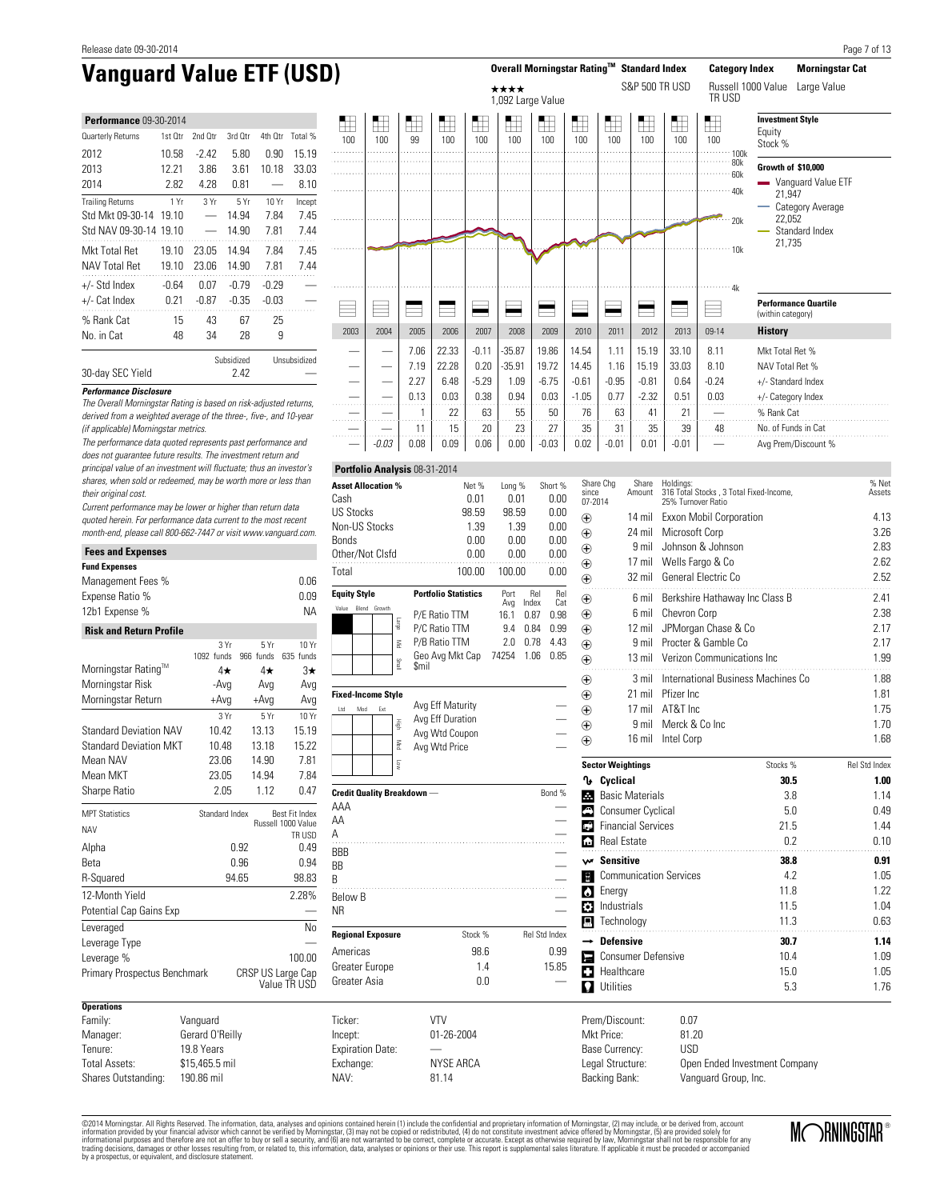| <b>Performance 09-30-2014</b> |         |              |         |         |         |  |  |  |
|-------------------------------|---------|--------------|---------|---------|---------|--|--|--|
| Quarterly Returns             | 1st Otr | 2nd Otr      | 3rd Otr | 4th Otr | Total % |  |  |  |
| 2012                          | 10.58   | $-2.42$      | 5.80    | 0.90    | 15.19   |  |  |  |
| 2013                          | 12.21   | 3.86         | 3.61    | 10.18   | 33.03   |  |  |  |
| 2014                          | 2.82    | 4.28         | 0.81    |         | 8.10    |  |  |  |
| <b>Trailing Returns</b>       | 1 Yr    | 3Yr          | 5Yr     | 10 Yr   | Incept  |  |  |  |
| Std Mkt 09-30-14              | 19.10   |              | 14.94   | 7.84    | 7.45    |  |  |  |
| Std NAV 09-30-14              | 19.10   |              | 14.90   | 7.81    | 7.44    |  |  |  |
| Mkt Total Ret                 | 19.10   | 23.05        | 14.94   | 7.84    | 7.45    |  |  |  |
| <b>NAV Total Ret</b>          | 19.10   | 23.06        | 14.90   | 7.81    | 7.44    |  |  |  |
| $+/-$ Std Index               | $-0.64$ | 0.07         | $-0.79$ | $-0.29$ |         |  |  |  |
| +/- Cat Index                 | 0.21    | $-0.87$      | $-0.35$ | -0.03   |         |  |  |  |
| % Rank Cat                    | 15      | 43           | 67      | 25      |         |  |  |  |
| No. in Cat                    | 48      | 34           | 28      | 9       |         |  |  |  |
|                               |         | Unsubsidized |         |         |         |  |  |  |



## derived from a weighted average of the three-, five-, and 10-year (if applicable) Morningstar metrics.

30-day SEC Yield 2.42

**Performance Disclosure**

**Fees and Expenses**

The performance data quoted represents past performance and does not guarantee future results. The investment return and principal value of an investment will fluctuate; thus an investor's shares, when sold or redeemed, may be worth more or less than their original cost.

The Overall Morningstar Rating is based on risk-adjusted returns,

Current performance may be lower or higher than return data quoted herein. For performance data current to the most recent month-end, please call 800-662-7447 or visit www.vanguard.com.

| rees anu Expenses                 |                 |                                         |                    |  |  |  |  |
|-----------------------------------|-----------------|-----------------------------------------|--------------------|--|--|--|--|
| <b>Fund Expenses</b>              |                 |                                         |                    |  |  |  |  |
| Management Fees %                 |                 |                                         | 0.06               |  |  |  |  |
| Expense Ratio %                   |                 |                                         | 0.09               |  |  |  |  |
| 12b1 Expense %                    |                 |                                         | <b>NA</b>          |  |  |  |  |
| <b>Risk and Return Profile</b>    |                 |                                         |                    |  |  |  |  |
|                                   | 3Yr             | 5Yr                                     | 10 Yr              |  |  |  |  |
| Morningstar Rating™               | 1092 funds      | 966 funds                               | 635 funds          |  |  |  |  |
| Morningstar Risk                  | 4★              | 4★                                      | 3★                 |  |  |  |  |
|                                   | -Avg            | Avg                                     | Avg                |  |  |  |  |
| Morningstar Return                | $+Avg$          | $+Avg$                                  | Avg                |  |  |  |  |
|                                   | 3 Yr            | 5Yr                                     | 10 Yr              |  |  |  |  |
| <b>Standard Deviation NAV</b>     | 10.42           | 13.13                                   | 15.19              |  |  |  |  |
| <b>Standard Deviation MKT</b>     | 10.48           | 13.18                                   | 15.22              |  |  |  |  |
| Mean NAV                          | 23.06           | 14.90                                   | 7.81               |  |  |  |  |
| Mean MKT                          | 23.05           | 14.94                                   | 7.84               |  |  |  |  |
| Sharpe Ratio                      | 2.05            | 1.12                                    | 0.47               |  |  |  |  |
| <b>MPT Statistics</b>             |                 | Standard Index<br><b>Best Fit Index</b> |                    |  |  |  |  |
| <b>NAV</b>                        |                 |                                         | Russell 1000 Value |  |  |  |  |
| Alpha                             |                 | 0.92                                    | TR USD<br>0.49     |  |  |  |  |
| Beta                              |                 | 0.96                                    | 0.94               |  |  |  |  |
| R-Squared                         |                 | 94.65                                   |                    |  |  |  |  |
| 12-Month Yield                    |                 |                                         | 98.83<br>2.28%     |  |  |  |  |
| Potential Cap Gains Exp           |                 |                                         |                    |  |  |  |  |
|                                   |                 |                                         | No                 |  |  |  |  |
| Leveraged                         |                 |                                         |                    |  |  |  |  |
| Leverage Type                     |                 |                                         |                    |  |  |  |  |
| Leverage %                        |                 |                                         | 100.00             |  |  |  |  |
| Primary Prospectus Benchmark      |                 | CRSP US Large Cap                       | Value TR USD       |  |  |  |  |
| <b>Operations</b>                 |                 |                                         |                    |  |  |  |  |
| Family:                           | Vanguard        |                                         |                    |  |  |  |  |
| Manager:                          | Gerard O'Reilly |                                         |                    |  |  |  |  |
| Tenure:                           | 19.8 Years      |                                         |                    |  |  |  |  |
| <b>Total Assets:</b>              | \$15,465.5 mil  |                                         |                    |  |  |  |  |
| Shares Outstanding:<br>190.86 mil |                 |                                         |                    |  |  |  |  |

| Asset Allocation %        | Net %                       | Long %      |              | Short %    |
|---------------------------|-----------------------------|-------------|--------------|------------|
| Cash                      | 0.01                        | 0.01        |              | 0.00       |
| <b>US Stocks</b>          | 98.59                       | 98.59       |              | 0.00       |
| Non-US Stocks             | 1.39                        | 1.39        |              | 0.00       |
| Bonds                     | 0.00                        | 0.00        |              | 0.00       |
| Other/Not Clsfd           | 0.00                        | 0.00        |              | 0.00       |
| Total                     | 100.00                      | 100.00      |              | 0.00       |
| <b>Equity Style</b>       | <b>Portfolio Statistics</b> | Port<br>Avg | Rel<br>Index | Rel<br>Cat |
| Value<br>Growth<br>Blend  | P/E Ratio TTM               | 16.1        | 0.87         | 0.98       |
| эблет                     | P/C Ratio TTM               | 9.4         | 0.84         | 0.99       |
| Š                         | P/B Ratio TTM               | 2.0         | 0.78         | 4.43       |
| lism                      | Geo Avg Mkt Cap<br>\$mil    | 74254       | 1.06         | 0.85       |
| <b>Fixed-Income Style</b> |                             |             |              |            |
| Ltd<br>Mod<br>Ext         | Avg Eff Maturity            |             |              |            |

—

**Portfolio Analysis** 08-31-2014

| High<br>Med<br><b>S</b>            | Avg Eff Duration<br>Avg Wtd Coupon<br>Avg Wtd Price |               |
|------------------------------------|-----------------------------------------------------|---------------|
| <b>Credit Quality Breakdown --</b> |                                                     | Bond %        |
| AAA                                |                                                     |               |
| AA                                 |                                                     |               |
| Α                                  |                                                     |               |
| <b>BBB</b>                         |                                                     |               |
| <b>BB</b>                          |                                                     |               |
| B                                  |                                                     |               |
| <b>Below B</b>                     |                                                     |               |
| <b>NR</b>                          |                                                     |               |
| <b>Regional Exposure</b>           | Stock %                                             | Rel Std Index |
| Americas                           | 98.6                                                | 0.99          |
| Greater Europe                     | 1.4                                                 | 15.85         |
| Greater Asia                       | 0.0                                                 |               |
|                                    |                                                     |               |

Ticker: VTV Incept: 01-26-2004 Expiration Date: Exchange: NYSE ARCA NAV: 81.14

| Share Chg<br>since<br>07-2014 | Share<br>Amount               | Holdings:<br>316 Total Stocks, 3 Total Fixed-Income,<br>25% Turnover Ratio |          | % Net<br>Assets      |
|-------------------------------|-------------------------------|----------------------------------------------------------------------------|----------|----------------------|
| $_{\oplus}$                   | 14 mil                        | Exxon Mobil Corporation                                                    |          | 4.13                 |
| $^{\circledR}$                | 24 mil                        | Microsoft Corp                                                             |          | 3.26                 |
| $\oplus$                      | 9 mil                         | Johnson & Johnson                                                          |          | 2.83                 |
| $\bigoplus$                   | 17 mil                        | Wells Fargo & Co                                                           |          | 2.62                 |
| $_{\oplus}$                   | $32$ mil                      | General Electric Co                                                        |          | 2.52                 |
| $\oplus$                      | 6 mil                         | Berkshire Hathaway Inc Class B                                             |          | 2.41                 |
| $\bigoplus$                   | 6 mil                         | Chevron Corp                                                               |          | 2.38                 |
| $\bigoplus$                   | $12$ mil                      | JPMorgan Chase & Co                                                        |          | 2.17                 |
| $\bigoplus$                   |                               | 9 mil Procter & Gamble Co.                                                 |          | 2.17                 |
| $_{\oplus}$                   | $13$ mil                      | Verizon Communications Inc.                                                |          | 1.99                 |
| $_{\oplus}$                   | $3$ mil                       | International Business Machines Co                                         |          | 1.88                 |
| $_{\oplus}$                   | $21$ mil                      | Pfizer Inc.                                                                |          | 1.81                 |
| $\bigoplus$                   | $17$ mil                      | AT&T Inc.                                                                  |          | 1.75                 |
| $^{\circledR}$                | 9 mil                         | Merck & Co Inc                                                             |          | 1.70                 |
| ⊕                             | $16$ mil                      | Intel Corp                                                                 |          | 1.68                 |
|                               | <b>Sector Weightings</b>      |                                                                            | Stocks % | <b>Rel Std Index</b> |
| ∿                             | Cyclical                      |                                                                            | 30.5     | 1.00                 |
| Æ                             | <b>Basic Materials</b>        |                                                                            | 3.8      | 1.14                 |
| ♠                             | <b>Consumer Cyclical</b>      |                                                                            | 5.0      | 0.49                 |
| ьÊ                            | <b>Financial Services</b>     |                                                                            | 21.5     | 1.44                 |
|                               | <b>Real Estate</b>            |                                                                            | 0.2      | 0.10                 |
|                               | w Sensitive                   |                                                                            | 38.8     | 0.91                 |
| ę                             | <b>Communication Services</b> |                                                                            | 4.2      | 1.05                 |
| W                             | Energy                        |                                                                            | 11.8     | 1.22                 |
| ١٥                            | Industrials                   |                                                                            | 11.5     | 1.04                 |
| д                             | Technology                    |                                                                            | 11.3     | 0.63                 |
|                               | <b>Defensive</b>              |                                                                            | 30.7     | 1.14                 |
| E                             | <b>Consumer Defensive</b>     |                                                                            | 10.4     | 1.09                 |

d Healthcare 15.0 1.05 **f** Utilities 5.3 1.76

Prem/Discount: 0.07<br>Mkt Price: 81.20 Mkt Price: 81.20<br>Base Currency: USD Base Currency: Legal Structure: Open Ended Investment Company Backing Bank: Vanguard Group, Inc.

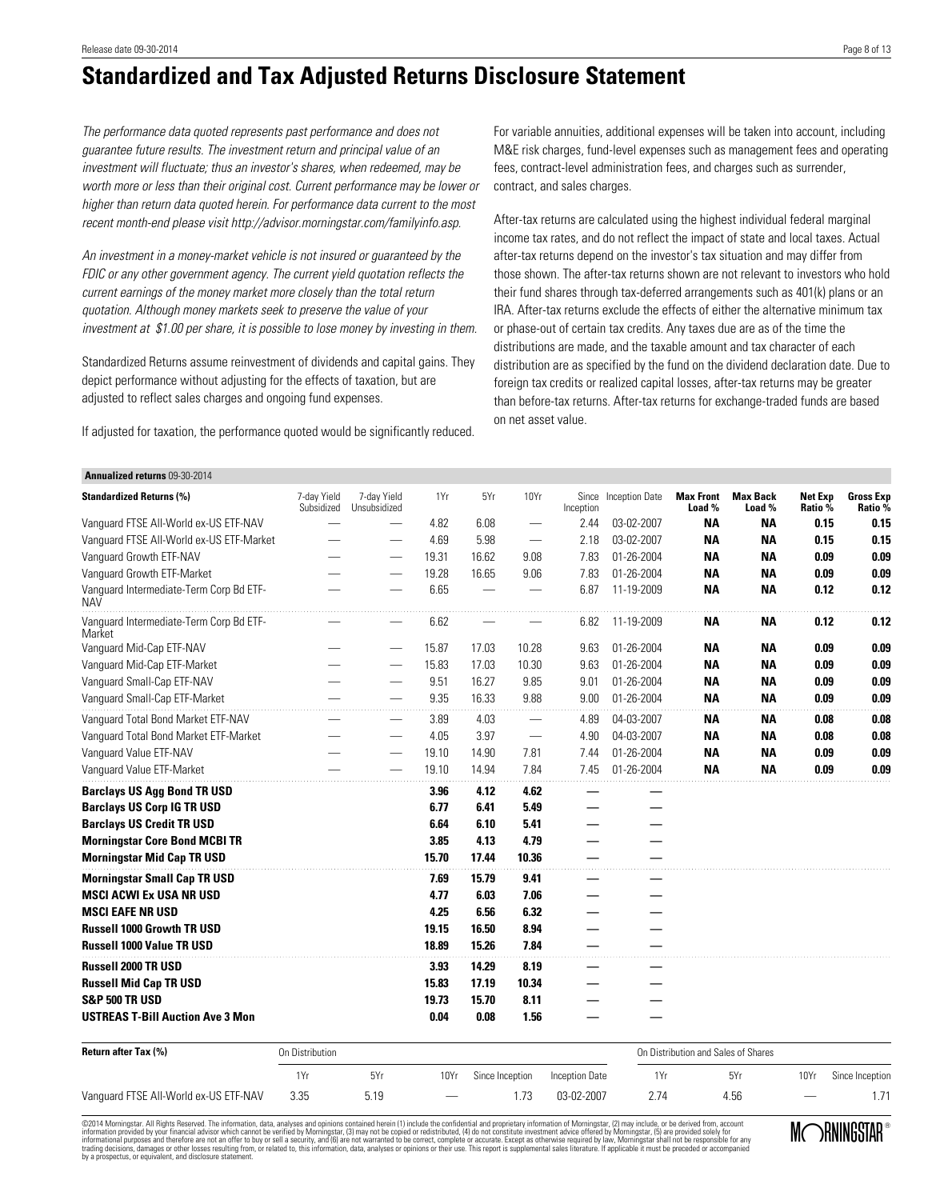# **Standardized and Tax Adjusted Returns Disclosure Statement**

The performance data quoted represents past performance and does not guarantee future results. The investment return and principal value of an investment will fluctuate; thus an investor's shares, when redeemed, may be worth more or less than their original cost. Current performance may be lower or higher than return data quoted herein. For performance data current to the most recent month-end please visit http://advisor.morningstar.com/familyinfo.asp.

An investment in a money-market vehicle is not insured or guaranteed by the FDIC or any other government agency. The current yield quotation reflects the current earnings of the money market more closely than the total return quotation. Although money markets seek to preserve the value of your investment at \$1.00 per share, it is possible to lose money by investing in them.

Standardized Returns assume reinvestment of dividends and capital gains. They depict performance without adjusting for the effects of taxation, but are adjusted to reflect sales charges and ongoing fund expenses.

If adjusted for taxation, the performance quoted would be significantly reduced.

For variable annuities, additional expenses will be taken into account, including M&E risk charges, fund-level expenses such as management fees and operating fees, contract-level administration fees, and charges such as surrender, contract, and sales charges.

After-tax returns are calculated using the highest individual federal marginal income tax rates, and do not reflect the impact of state and local taxes. Actual after-tax returns depend on the investor's tax situation and may differ from those shown. The after-tax returns shown are not relevant to investors who hold their fund shares through tax-deferred arrangements such as 401(k) plans or an IRA. After-tax returns exclude the effects of either the alternative minimum tax or phase-out of certain tax credits. Any taxes due are as of the time the distributions are made, and the taxable amount and tax character of each distribution are as specified by the fund on the dividend declaration date. Due to foreign tax credits or realized capital losses, after-tax returns may be greater than before-tax returns. After-tax returns for exchange-traded funds are based on net asset value.

### **Annualized returns** 09-30-2014

| <b>Standardized Returns (%)</b><br>1Yr<br>5Yr<br>10Yr<br><b>Inception Date</b><br><b>Max Front</b><br><b>Max Back</b><br><b>Net Exp</b><br>7-day Yield<br>7-day Yield<br>Since<br>Subsidized<br>Load %<br>Load %<br>Ratio %<br>Unsubsidized<br>Inception<br>Vanquard FTSE All-World ex-US ETF-NAV<br>4.82<br>6.08<br>2.44<br>03-02-2007<br><b>NA</b><br><b>NA</b><br>-<br>5.98<br>Vanquard FTSE All-World ex-US ETF-Market<br>4.69<br>2.18<br>03-02-2007<br><b>NA</b><br><b>NA</b><br>$\hspace{0.1mm}-\hspace{0.1mm}$<br>16.62<br>Vanquard Growth ETF-NAV<br>19.31<br>9.08<br>7.83<br>01-26-2004<br><b>NA</b><br><b>NA</b><br>Vanquard Growth ETF-Market<br>19.28<br>16.65<br>01-26-2004<br><b>NA</b><br>9.06<br>7.83<br><b>NA</b><br>Vanguard Intermediate-Term Corp Bd ETF-<br>6.65<br><b>NA</b><br>6.87<br>11-19-2009<br><b>NA</b><br><b>NAV</b><br>Vanguard Intermediate-Term Corp Bd ETF-<br>6.62<br>6.82<br>11-19-2009<br>ΝA<br>ΝA<br>Market<br>Vanguard Mid-Cap ETF-NAV<br>15.87<br>10.28<br>01-26-2004<br><b>NA</b><br>17.03<br>9.63<br>ΝA<br>15.83<br>17.03<br>10.30<br>9.63<br>01-26-2004<br><b>NA</b><br><b>NA</b><br>Vanguard Mid-Cap ETF-Market<br>Vanquard Small-Cap ETF-NAV<br>9.51<br>16.27<br>9.85<br>01-26-2004<br>9.01<br><b>NA</b><br><b>NA</b><br>Vanguard Small-Cap ETF-Market<br>9.88<br>9.35<br>16.33<br>9.00<br>01-26-2004<br><b>NA</b><br><b>NA</b><br>Vanquard Total Bond Market ETF-NAV<br>04-03-2007<br><b>NA</b><br>3.89<br>4.03<br>4.89<br>ΝA<br>3.97<br><b>NA</b><br>Vanguard Total Bond Market ETF-Market<br>4.05<br>4.90<br>04-03-2007<br><b>NA</b><br>Vanguard Value ETF-NAV<br>19.10<br>14.90<br>7.81<br>01-26-2004<br><b>NA</b><br>7.44<br>ΝA<br>14.94<br>7.84<br><b>NA</b><br>Vanquard Value ETF-Market<br>19.10<br>7.45<br>01-26-2004<br><b>NA</b><br><b>Barclays US Agg Bond TR USD</b><br>3.96<br>4.12<br>4.62<br><b>Barclays US Corp IG TR USD</b><br>6.77<br>6.41<br>5.49<br><b>Barclays US Credit TR USD</b><br>6.10<br>5.41<br>6.64<br><b>Morningstar Core Bond MCBI TR</b><br>4.13<br>4.79<br>3.85 | <b>Gross Exp</b><br>Ratio %<br>0.15<br>0.15<br>0.15<br>0.15<br>0.09<br>0.09<br>0.09<br>0.09<br>0.12<br>0.12<br>0.12<br>0.12<br>0.09<br>0.09<br>0.09<br>0.09<br>0.09<br>0.09<br>0.09<br>0.09<br>0.08<br>0.08<br>0.08<br>0.08<br>0.09<br>0.09 |
|--------------------------------------------------------------------------------------------------------------------------------------------------------------------------------------------------------------------------------------------------------------------------------------------------------------------------------------------------------------------------------------------------------------------------------------------------------------------------------------------------------------------------------------------------------------------------------------------------------------------------------------------------------------------------------------------------------------------------------------------------------------------------------------------------------------------------------------------------------------------------------------------------------------------------------------------------------------------------------------------------------------------------------------------------------------------------------------------------------------------------------------------------------------------------------------------------------------------------------------------------------------------------------------------------------------------------------------------------------------------------------------------------------------------------------------------------------------------------------------------------------------------------------------------------------------------------------------------------------------------------------------------------------------------------------------------------------------------------------------------------------------------------------------------------------------------------------------------------------------------------------------------------------------------------------------------------------------------------------------------------------------------------------------------------|---------------------------------------------------------------------------------------------------------------------------------------------------------------------------------------------------------------------------------------------|
|                                                                                                                                                                                                                                                                                                                                                                                                                                                                                                                                                                                                                                                                                                                                                                                                                                                                                                                                                                                                                                                                                                                                                                                                                                                                                                                                                                                                                                                                                                                                                                                                                                                                                                                                                                                                                                                                                                                                                                                                                                                  |                                                                                                                                                                                                                                             |
|                                                                                                                                                                                                                                                                                                                                                                                                                                                                                                                                                                                                                                                                                                                                                                                                                                                                                                                                                                                                                                                                                                                                                                                                                                                                                                                                                                                                                                                                                                                                                                                                                                                                                                                                                                                                                                                                                                                                                                                                                                                  |                                                                                                                                                                                                                                             |
|                                                                                                                                                                                                                                                                                                                                                                                                                                                                                                                                                                                                                                                                                                                                                                                                                                                                                                                                                                                                                                                                                                                                                                                                                                                                                                                                                                                                                                                                                                                                                                                                                                                                                                                                                                                                                                                                                                                                                                                                                                                  |                                                                                                                                                                                                                                             |
|                                                                                                                                                                                                                                                                                                                                                                                                                                                                                                                                                                                                                                                                                                                                                                                                                                                                                                                                                                                                                                                                                                                                                                                                                                                                                                                                                                                                                                                                                                                                                                                                                                                                                                                                                                                                                                                                                                                                                                                                                                                  |                                                                                                                                                                                                                                             |
|                                                                                                                                                                                                                                                                                                                                                                                                                                                                                                                                                                                                                                                                                                                                                                                                                                                                                                                                                                                                                                                                                                                                                                                                                                                                                                                                                                                                                                                                                                                                                                                                                                                                                                                                                                                                                                                                                                                                                                                                                                                  |                                                                                                                                                                                                                                             |
|                                                                                                                                                                                                                                                                                                                                                                                                                                                                                                                                                                                                                                                                                                                                                                                                                                                                                                                                                                                                                                                                                                                                                                                                                                                                                                                                                                                                                                                                                                                                                                                                                                                                                                                                                                                                                                                                                                                                                                                                                                                  |                                                                                                                                                                                                                                             |
|                                                                                                                                                                                                                                                                                                                                                                                                                                                                                                                                                                                                                                                                                                                                                                                                                                                                                                                                                                                                                                                                                                                                                                                                                                                                                                                                                                                                                                                                                                                                                                                                                                                                                                                                                                                                                                                                                                                                                                                                                                                  |                                                                                                                                                                                                                                             |
|                                                                                                                                                                                                                                                                                                                                                                                                                                                                                                                                                                                                                                                                                                                                                                                                                                                                                                                                                                                                                                                                                                                                                                                                                                                                                                                                                                                                                                                                                                                                                                                                                                                                                                                                                                                                                                                                                                                                                                                                                                                  |                                                                                                                                                                                                                                             |
|                                                                                                                                                                                                                                                                                                                                                                                                                                                                                                                                                                                                                                                                                                                                                                                                                                                                                                                                                                                                                                                                                                                                                                                                                                                                                                                                                                                                                                                                                                                                                                                                                                                                                                                                                                                                                                                                                                                                                                                                                                                  |                                                                                                                                                                                                                                             |
|                                                                                                                                                                                                                                                                                                                                                                                                                                                                                                                                                                                                                                                                                                                                                                                                                                                                                                                                                                                                                                                                                                                                                                                                                                                                                                                                                                                                                                                                                                                                                                                                                                                                                                                                                                                                                                                                                                                                                                                                                                                  |                                                                                                                                                                                                                                             |
|                                                                                                                                                                                                                                                                                                                                                                                                                                                                                                                                                                                                                                                                                                                                                                                                                                                                                                                                                                                                                                                                                                                                                                                                                                                                                                                                                                                                                                                                                                                                                                                                                                                                                                                                                                                                                                                                                                                                                                                                                                                  |                                                                                                                                                                                                                                             |
|                                                                                                                                                                                                                                                                                                                                                                                                                                                                                                                                                                                                                                                                                                                                                                                                                                                                                                                                                                                                                                                                                                                                                                                                                                                                                                                                                                                                                                                                                                                                                                                                                                                                                                                                                                                                                                                                                                                                                                                                                                                  |                                                                                                                                                                                                                                             |
|                                                                                                                                                                                                                                                                                                                                                                                                                                                                                                                                                                                                                                                                                                                                                                                                                                                                                                                                                                                                                                                                                                                                                                                                                                                                                                                                                                                                                                                                                                                                                                                                                                                                                                                                                                                                                                                                                                                                                                                                                                                  |                                                                                                                                                                                                                                             |
|                                                                                                                                                                                                                                                                                                                                                                                                                                                                                                                                                                                                                                                                                                                                                                                                                                                                                                                                                                                                                                                                                                                                                                                                                                                                                                                                                                                                                                                                                                                                                                                                                                                                                                                                                                                                                                                                                                                                                                                                                                                  |                                                                                                                                                                                                                                             |
|                                                                                                                                                                                                                                                                                                                                                                                                                                                                                                                                                                                                                                                                                                                                                                                                                                                                                                                                                                                                                                                                                                                                                                                                                                                                                                                                                                                                                                                                                                                                                                                                                                                                                                                                                                                                                                                                                                                                                                                                                                                  | 0.09<br>0.09                                                                                                                                                                                                                                |
|                                                                                                                                                                                                                                                                                                                                                                                                                                                                                                                                                                                                                                                                                                                                                                                                                                                                                                                                                                                                                                                                                                                                                                                                                                                                                                                                                                                                                                                                                                                                                                                                                                                                                                                                                                                                                                                                                                                                                                                                                                                  |                                                                                                                                                                                                                                             |
|                                                                                                                                                                                                                                                                                                                                                                                                                                                                                                                                                                                                                                                                                                                                                                                                                                                                                                                                                                                                                                                                                                                                                                                                                                                                                                                                                                                                                                                                                                                                                                                                                                                                                                                                                                                                                                                                                                                                                                                                                                                  |                                                                                                                                                                                                                                             |
|                                                                                                                                                                                                                                                                                                                                                                                                                                                                                                                                                                                                                                                                                                                                                                                                                                                                                                                                                                                                                                                                                                                                                                                                                                                                                                                                                                                                                                                                                                                                                                                                                                                                                                                                                                                                                                                                                                                                                                                                                                                  |                                                                                                                                                                                                                                             |
|                                                                                                                                                                                                                                                                                                                                                                                                                                                                                                                                                                                                                                                                                                                                                                                                                                                                                                                                                                                                                                                                                                                                                                                                                                                                                                                                                                                                                                                                                                                                                                                                                                                                                                                                                                                                                                                                                                                                                                                                                                                  |                                                                                                                                                                                                                                             |
| <b>Morningstar Mid Cap TR USD</b><br>15.70<br>17.44<br>10.36                                                                                                                                                                                                                                                                                                                                                                                                                                                                                                                                                                                                                                                                                                                                                                                                                                                                                                                                                                                                                                                                                                                                                                                                                                                                                                                                                                                                                                                                                                                                                                                                                                                                                                                                                                                                                                                                                                                                                                                     |                                                                                                                                                                                                                                             |
| <b>Morningstar Small Cap TR USD</b><br>15.79<br>9.41<br>7.69                                                                                                                                                                                                                                                                                                                                                                                                                                                                                                                                                                                                                                                                                                                                                                                                                                                                                                                                                                                                                                                                                                                                                                                                                                                                                                                                                                                                                                                                                                                                                                                                                                                                                                                                                                                                                                                                                                                                                                                     |                                                                                                                                                                                                                                             |
| <b>MSCI ACWI Ex USA NR USD</b><br>7.06<br>4.77<br>6.03                                                                                                                                                                                                                                                                                                                                                                                                                                                                                                                                                                                                                                                                                                                                                                                                                                                                                                                                                                                                                                                                                                                                                                                                                                                                                                                                                                                                                                                                                                                                                                                                                                                                                                                                                                                                                                                                                                                                                                                           |                                                                                                                                                                                                                                             |
| <b>MSCI EAFE NR USD</b><br>4.25<br>6.56<br>6.32                                                                                                                                                                                                                                                                                                                                                                                                                                                                                                                                                                                                                                                                                                                                                                                                                                                                                                                                                                                                                                                                                                                                                                                                                                                                                                                                                                                                                                                                                                                                                                                                                                                                                                                                                                                                                                                                                                                                                                                                  |                                                                                                                                                                                                                                             |
| <b>Russell 1000 Growth TR USD</b><br>16.50<br>8.94<br>19.15                                                                                                                                                                                                                                                                                                                                                                                                                                                                                                                                                                                                                                                                                                                                                                                                                                                                                                                                                                                                                                                                                                                                                                                                                                                                                                                                                                                                                                                                                                                                                                                                                                                                                                                                                                                                                                                                                                                                                                                      |                                                                                                                                                                                                                                             |
| <b>Russell 1000 Value TR USD</b><br>18.89<br>15.26<br>7.84                                                                                                                                                                                                                                                                                                                                                                                                                                                                                                                                                                                                                                                                                                                                                                                                                                                                                                                                                                                                                                                                                                                                                                                                                                                                                                                                                                                                                                                                                                                                                                                                                                                                                                                                                                                                                                                                                                                                                                                       |                                                                                                                                                                                                                                             |
| <b>Russell 2000 TR USD</b><br>14.29<br>8.19<br>3.93                                                                                                                                                                                                                                                                                                                                                                                                                                                                                                                                                                                                                                                                                                                                                                                                                                                                                                                                                                                                                                                                                                                                                                                                                                                                                                                                                                                                                                                                                                                                                                                                                                                                                                                                                                                                                                                                                                                                                                                              |                                                                                                                                                                                                                                             |
| <b>Russell Mid Cap TR USD</b><br>15.83<br>17.19<br>10.34                                                                                                                                                                                                                                                                                                                                                                                                                                                                                                                                                                                                                                                                                                                                                                                                                                                                                                                                                                                                                                                                                                                                                                                                                                                                                                                                                                                                                                                                                                                                                                                                                                                                                                                                                                                                                                                                                                                                                                                         |                                                                                                                                                                                                                                             |
| <b>S&amp;P 500 TR USD</b><br>19.73<br>15.70<br>8.11                                                                                                                                                                                                                                                                                                                                                                                                                                                                                                                                                                                                                                                                                                                                                                                                                                                                                                                                                                                                                                                                                                                                                                                                                                                                                                                                                                                                                                                                                                                                                                                                                                                                                                                                                                                                                                                                                                                                                                                              |                                                                                                                                                                                                                                             |
| <b>USTREAS T-Bill Auction Ave 3 Mon</b><br>0.08<br>1.56<br>0.04                                                                                                                                                                                                                                                                                                                                                                                                                                                                                                                                                                                                                                                                                                                                                                                                                                                                                                                                                                                                                                                                                                                                                                                                                                                                                                                                                                                                                                                                                                                                                                                                                                                                                                                                                                                                                                                                                                                                                                                  |                                                                                                                                                                                                                                             |

| <b>Return after Tax (%)</b><br>On Distribution |      |      |                          |                 |                | On Distribution and Sales of Shares |      |      |                 |
|------------------------------------------------|------|------|--------------------------|-----------------|----------------|-------------------------------------|------|------|-----------------|
|                                                | 1Yr  | 5Yr  | 10Yr                     | Since Inception | Inception Date | 1Yr                                 | 5Yr  | 10Yr | Since Inception |
| Vanguard FTSE All-World ex-US ETF-NAV          | 3.35 | 5.19 | $\overline{\phantom{a}}$ |                 | 03-02-2007     |                                     | 4.56 | -    |                 |

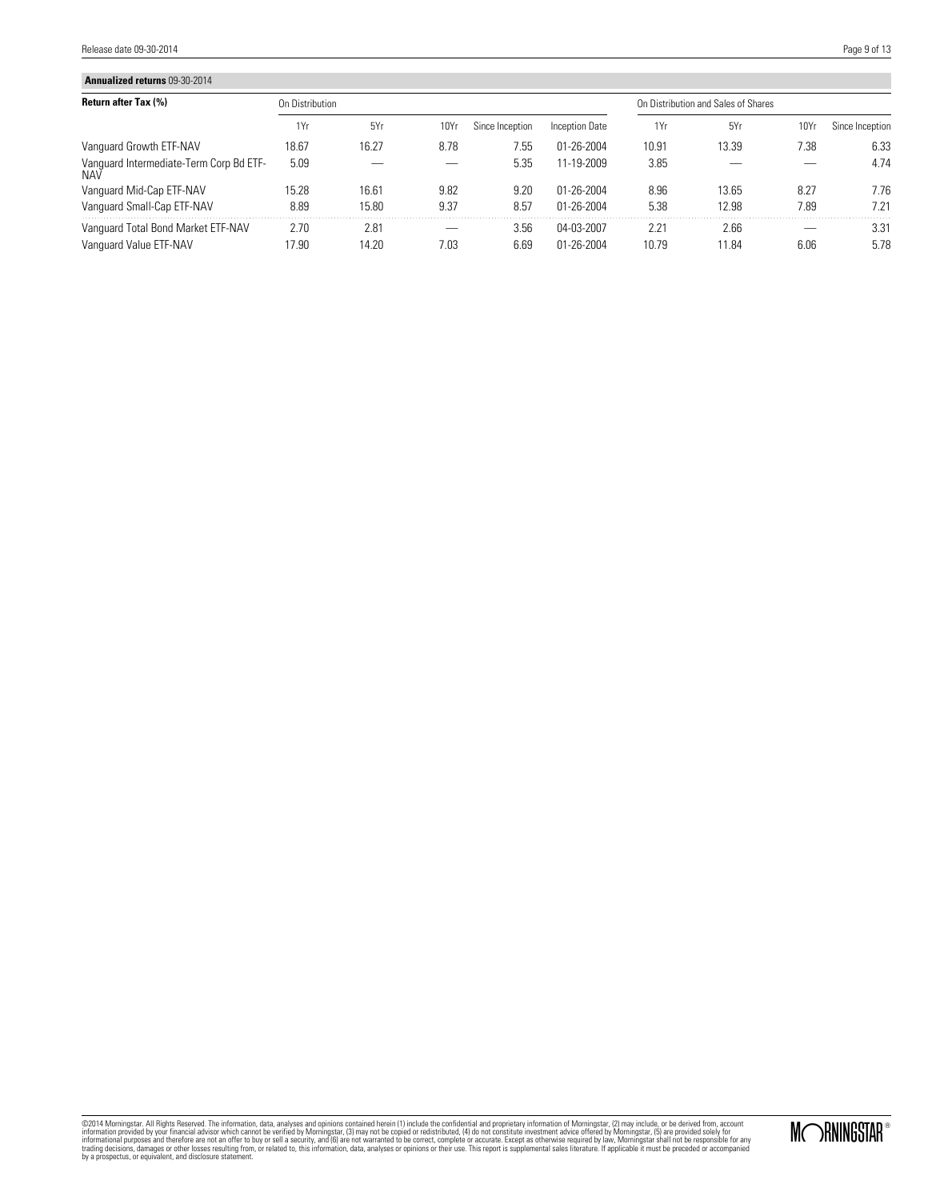Release date 09-30-2014 

| <b>Annualized returns 09-30-2014</b>                  |                 |       |                  |                 |                |       |                                     |      |                 |  |
|-------------------------------------------------------|-----------------|-------|------------------|-----------------|----------------|-------|-------------------------------------|------|-----------------|--|
| <b>Return after Tax (%)</b>                           | On Distribution |       |                  |                 |                |       | On Distribution and Sales of Shares |      |                 |  |
|                                                       | 1Yr             | 5Yr   | 10Y <sub>I</sub> | Since Inception | Inception Date | 1Yr   | 5Yr                                 | 10Yr | Since Inception |  |
| Vanguard Growth ETF-NAV                               | 18.67           | 16.27 | 8.78             | 7.55            | 01-26-2004     | 10.91 | 13.39                               | 7.38 | 6.33            |  |
| Vanguard Intermediate-Term Corp Bd ETF-<br><b>NAV</b> | 5.09            |       |                  | 5.35            | 11-19-2009     | 3.85  |                                     |      | 4.74            |  |
| Vanguard Mid-Cap ETF-NAV                              | 15.28           | 16.61 | 9.82             | 9.20            | 01-26-2004     | 8.96  | 13.65                               | 8.27 | 7.76            |  |
| Vanquard Small-Cap ETF-NAV                            | 8.89            | 15.80 | 9.37             | 8.57            | 01-26-2004     | 5.38  | 12.98                               | 7.89 | 7.21            |  |
| Vanguard Total Bond Market ETF-NAV                    | 2.70            | 2.81  |                  | 3.56            | 04-03-2007     | 2.21  | 2.66                                |      | 3.31            |  |
| Vanguard Value ETF-NAV                                | 17.90           | 14.20 | 7.03             | 6.69            | 01-26-2004     | 10.79 | 11.84                               | 6.06 | 5.78            |  |

@2014 Morningstar, All Rights Reserved. The information, data, analyses and opinions contained heri (1) include the confidential and proprietary information provided by your financial advisor which cannot be verified by Mo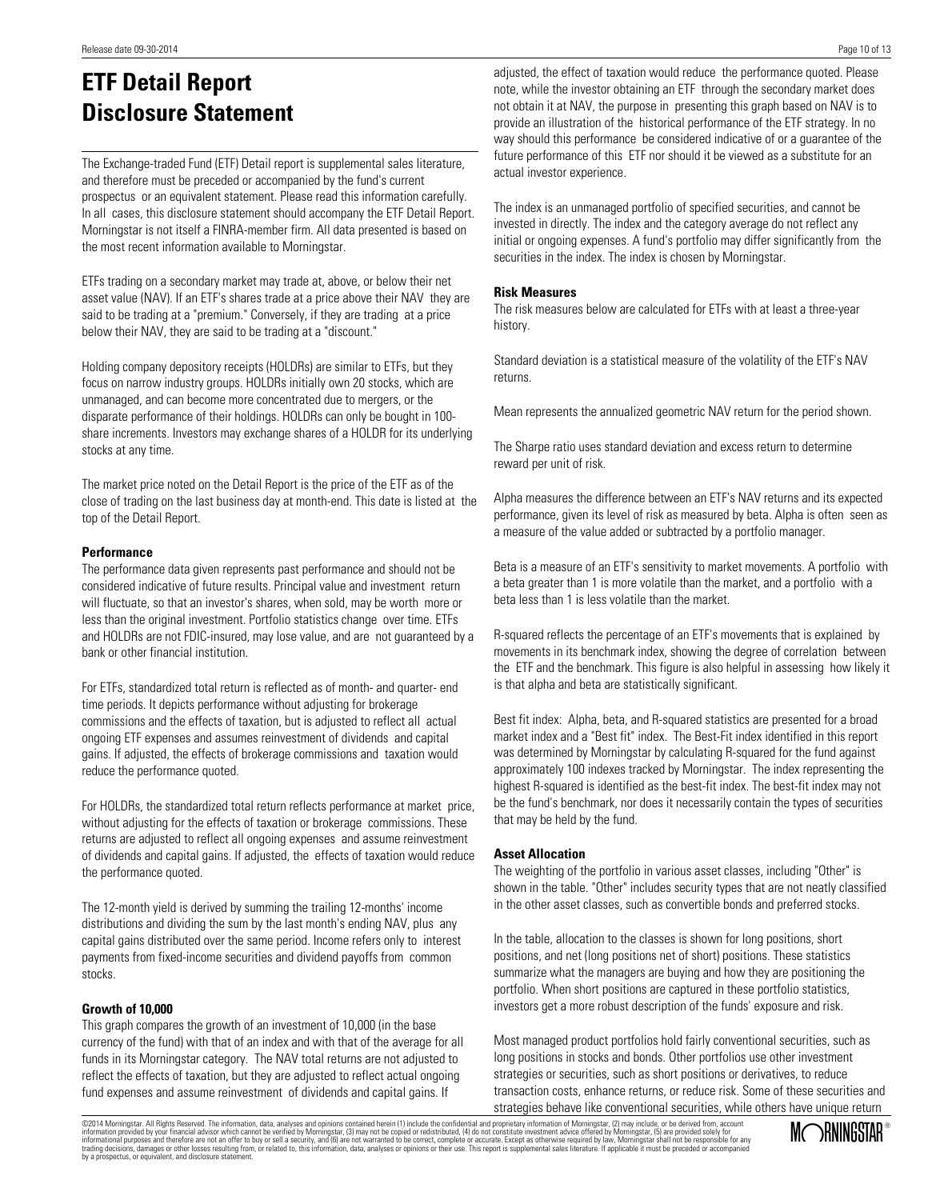# **ETF Detail Report Disclosure Statement**

The Exchange-traded Fund (ETF) Detail report is supplemental sales literature, and therefore must be preceded or accompanied by the fund's current prospectus or an equivalent statement. Please read this information carefully. In all cases, this disclosure statement should accompany the ETF Detail Report. Morningstar is not itself a FINRA-member firm. All data presented is based on the most recent information available to Morningstar.

ETFs trading on a secondary market may trade at, above, or below their net asset value (NAV). If an ETF's shares trade at a price above their NAV they are said to be trading at a "premium." Conversely, if they are trading at a price below their NAV, they are said to be trading at a "discount."

Holding company depository receipts (HOLDRs) are similar to ETFs, but they focus on narrow industry groups. HOLDRs initially own 20 stocks, which are unmanaged, and can become more concentrated due to mergers, or the disparate performance of their holdings. HOLDRs can only be bought in 100 share increments. Investors may exchange shares of a HOLDR for its underlying stocks at any time.

The market price noted on the Detail Report is the price of the ETF as of the close of trading on the last business day at month-end. This date is listed at the top of the Detail Report.

### **Performance**

The performance data given represents past performance and should not be considered indicative of future results. Principal value and investment return will fluctuate, so that an investor's shares, when sold, may be worth more or less than the original investment. Portfolio statistics change over time. ETFs and HOLDRs are not FDIC-insured, may lose value, and are not guaranteed by a bank or other financial institution.

For ETFs, standardized total return is reflected as of month- and quarter- end time periods. It depicts performance without adjusting for brokerage commissions and the effects of taxation, but is adjusted to reflect all actual ongoing ETF expenses and assumes reinvestment of dividends and capital gains. If adjusted, the effects of brokerage commissions and taxation would reduce the performance quoted.

For HOLDRs, the standardized total return reflects performance at market price, without adjusting for the effects of taxation or brokerage commissions. These returns are adjusted to reflect all ongoing expenses and assume reinvestment of dividends and capital gains. If adjusted, the effects of taxation would reduce the performance quoted.

The 12-month yield is derived by summing the trailing 12-months' income distributions and dividing the sum by the last month's ending NAV, plus any capital gains distributed over the same period. Income refers only to interest payments from fixed-income securities and dividend payoffs from common stocks.

### **Growth of 10,000**

This graph compares the growth of an investment of 10,000 (in the base currency of the fund) with that of an index and with that of the average for all funds in its Morningstar category. The NAV total returns are not adjusted to reflect the effects of taxation, but they are adjusted to reflect actual ongoing fund expenses and assume reinvestment of dividends and capital gains. If

adjusted, the effect of taxation would reduce the performance quoted. Please note, while the investor obtaining an ETF through the secondary market does not obtain it at NAV, the purpose in presenting this graph based on NAV is to provide an illustration of the historical performance of the ETF strategy. In no way should this performance be considered indicative of or a guarantee of the future performance of this ETF nor should it be viewed as a substitute for an actual investor experience.

The index is an unmanaged portfolio of specified securities, and cannot be invested in directly. The index and the category average do not reflect any initial or ongoing expenses. A fund's portfolio may differ significantly from the securities in the index. The index is chosen by Morningstar.

### **Risk Measures**

The risk measures below are calculated for ETFs with at least a three-year history.

Standard deviation is a statistical measure of the volatility of the ETF's NAV returns.

Mean represents the annualized geometric NAV return for the period shown.

The Sharpe ratio uses standard deviation and excess return to determine reward per unit of risk.

Alpha measures the difference between an ETF's NAV returns and its expected performance, given its level of risk as measured by beta. Alpha is often seen as a measure of the value added or subtracted by a portfolio manager.

Beta is a measure of an ETF's sensitivity to market movements. A portfolio with a beta greater than 1 is more volatile than the market, and a portfolio with a beta less than 1 is less volatile than the market.

R-squared reflects the percentage of an ETF's movements that is explained by movements in its benchmark index, showing the degree of correlation between the ETF and the benchmark. This figure is also helpful in assessing how likely it is that alpha and beta are statistically significant.

Best fit index: Alpha, beta, and R-squared statistics are presented for a broad market index and a "Best fit" index. The Best-Fit index identified in this report was determined by Morningstar by calculating R-squared for the fund against approximately 100 indexes tracked by Morningstar. The index representing the highest R-squared is identified as the best-fit index. The best-fit index may not be the fund's benchmark, nor does it necessarily contain the types of securities that may be held by the fund.

### **Asset Allocation**

The weighting of the portfolio in various asset classes, including "Other" is shown in the table. "Other" includes security types that are not neatly classified in the other asset classes, such as convertible bonds and preferred stocks.

In the table, allocation to the classes is shown for long positions, short positions, and net (long positions net of short) positions. These statistics summarize what the managers are buying and how they are positioning the portfolio. When short positions are captured in these portfolio statistics, investors get a more robust description of the funds' exposure and risk.

Most managed product portfolios hold fairly conventional securities, such as long positions in stocks and bonds. Other portfolios use other investment strategies or securities, such as short positions or derivatives, to reduce transaction costs, enhance returns, or reduce risk. Some of these securities and strategies behave like conventional securities, while others have unique return

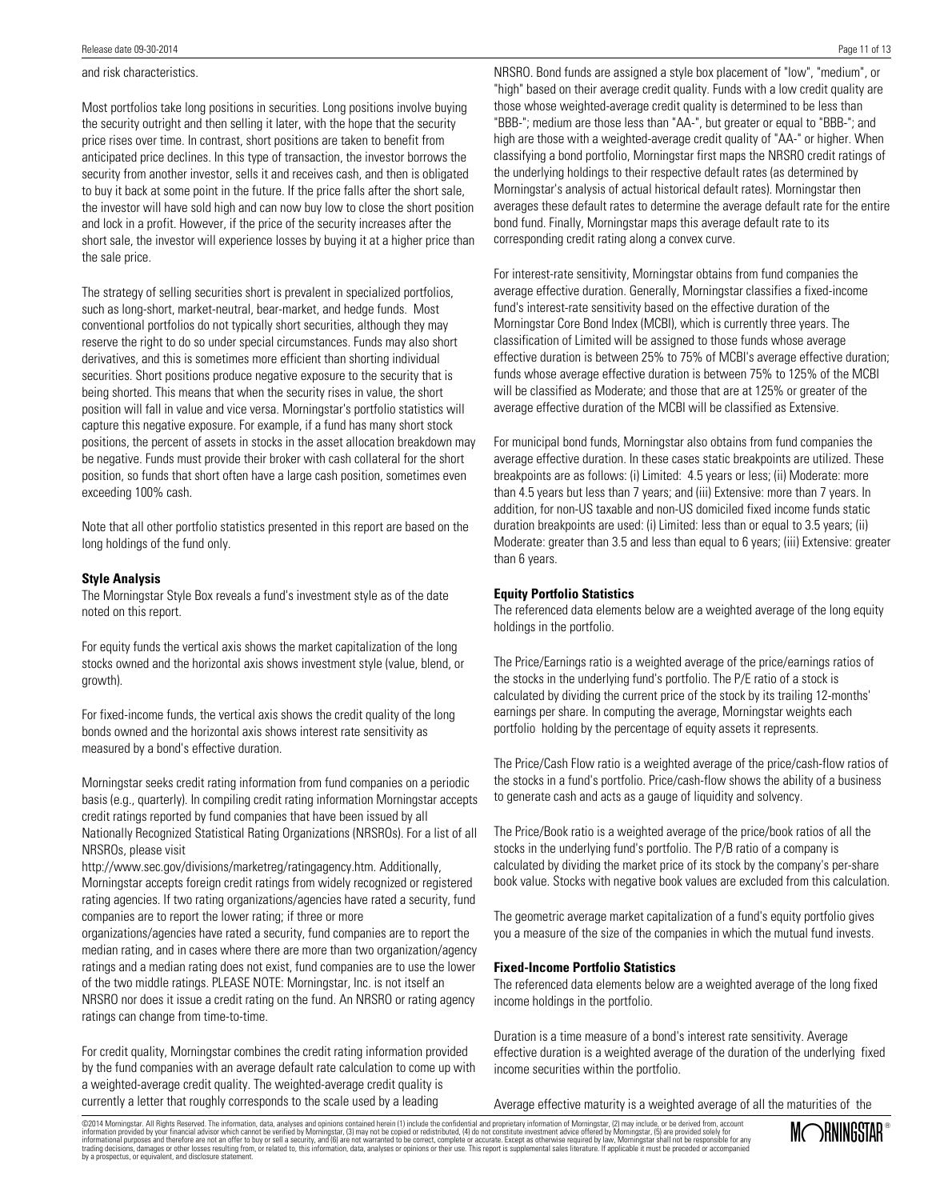### and risk characteristics.

Most portfolios take long positions in securities. Long positions involve buying the security outright and then selling it later, with the hope that the security price rises over time. In contrast, short positions are taken to benefit from anticipated price declines. In this type of transaction, the investor borrows the security from another investor, sells it and receives cash, and then is obligated to buy it back at some point in the future. If the price falls after the short sale, the investor will have sold high and can now buy low to close the short position and lock in a profit. However, if the price of the security increases after the short sale, the investor will experience losses by buying it at a higher price than the sale price.

The strategy of selling securities short is prevalent in specialized portfolios, such as long-short, market-neutral, bear-market, and hedge funds. Most conventional portfolios do not typically short securities, although they may reserve the right to do so under special circumstances. Funds may also short derivatives, and this is sometimes more efficient than shorting individual securities. Short positions produce negative exposure to the security that is being shorted. This means that when the security rises in value, the short position will fall in value and vice versa. Morningstar's portfolio statistics will capture this negative exposure. For example, if a fund has many short stock positions, the percent of assets in stocks in the asset allocation breakdown may be negative. Funds must provide their broker with cash collateral for the short position, so funds that short often have a large cash position, sometimes even exceeding 100% cash.

Note that all other portfolio statistics presented in this report are based on the long holdings of the fund only.

### **Style Analysis**

The Morningstar Style Box reveals a fund's investment style as of the date noted on this report.

For equity funds the vertical axis shows the market capitalization of the long stocks owned and the horizontal axis shows investment style (value, blend, or growth).

For fixed-income funds, the vertical axis shows the credit quality of the long bonds owned and the horizontal axis shows interest rate sensitivity as measured by a bond's effective duration.

Morningstar seeks credit rating information from fund companies on a periodic basis (e.g., quarterly). In compiling credit rating information Morningstar accepts credit ratings reported by fund companies that have been issued by all Nationally Recognized Statistical Rating Organizations (NRSROs). For a list of all NRSROs, please visit

http://www.sec.gov/divisions/marketreg/ratingagency.htm. Additionally, Morningstar accepts foreign credit ratings from widely recognized or registered rating agencies. If two rating organizations/agencies have rated a security, fund companies are to report the lower rating; if three or more

organizations/agencies have rated a security, fund companies are to report the median rating, and in cases where there are more than two organization/agency ratings and a median rating does not exist, fund companies are to use the lower of the two middle ratings. PLEASE NOTE: Morningstar, Inc. is not itself an NRSRO nor does it issue a credit rating on the fund. An NRSRO or rating agency ratings can change from time-to-time.

For credit quality, Morningstar combines the credit rating information provided by the fund companies with an average default rate calculation to come up with a weighted-average credit quality. The weighted-average credit quality is currently a letter that roughly corresponds to the scale used by a leading

NRSRO. Bond funds are assigned a style box placement of "low", "medium", or "high" based on their average credit quality. Funds with a low credit quality are those whose weighted-average credit quality is determined to be less than "BBB-"; medium are those less than "AA-", but greater or equal to "BBB-"; and high are those with a weighted-average credit quality of "AA-" or higher. When classifying a bond portfolio, Morningstar first maps the NRSRO credit ratings of the underlying holdings to their respective default rates (as determined by Morningstar's analysis of actual historical default rates). Morningstar then averages these default rates to determine the average default rate for the entire bond fund. Finally, Morningstar maps this average default rate to its corresponding credit rating along a convex curve.

For interest-rate sensitivity, Morningstar obtains from fund companies the average effective duration. Generally, Morningstar classifies a fixed-income fund's interest-rate sensitivity based on the effective duration of the Morningstar Core Bond Index (MCBI), which is currently three years. The classification of Limited will be assigned to those funds whose average effective duration is between 25% to 75% of MCBI's average effective duration; funds whose average effective duration is between 75% to 125% of the MCBI will be classified as Moderate; and those that are at 125% or greater of the average effective duration of the MCBI will be classified as Extensive.

For municipal bond funds, Morningstar also obtains from fund companies the average effective duration. In these cases static breakpoints are utilized. These breakpoints are as follows: (i) Limited: 4.5 years or less; (ii) Moderate: more than 4.5 years but less than 7 years; and (iii) Extensive: more than 7 years. In addition, for non-US taxable and non-US domiciled fixed income funds static duration breakpoints are used: (i) Limited: less than or equal to 3.5 years; (ii) Moderate: greater than 3.5 and less than equal to 6 years; (iii) Extensive: greater than 6 years.

### **Equity Portfolio Statistics**

The referenced data elements below are a weighted average of the long equity holdings in the portfolio.

The Price/Earnings ratio is a weighted average of the price/earnings ratios of the stocks in the underlying fund's portfolio. The P/E ratio of a stock is calculated by dividing the current price of the stock by its trailing 12-months' earnings per share. In computing the average, Morningstar weights each portfolio holding by the percentage of equity assets it represents.

The Price/Cash Flow ratio is a weighted average of the price/cash-flow ratios of the stocks in a fund's portfolio. Price/cash-flow shows the ability of a business to generate cash and acts as a gauge of liquidity and solvency.

The Price/Book ratio is a weighted average of the price/book ratios of all the stocks in the underlying fund's portfolio. The P/B ratio of a company is calculated by dividing the market price of its stock by the company's per-share book value. Stocks with negative book values are excluded from this calculation.

The geometric average market capitalization of a fund's equity portfolio gives you a measure of the size of the companies in which the mutual fund invests.

### **Fixed-Income Portfolio Statistics**

The referenced data elements below are a weighted average of the long fixed income holdings in the portfolio.

Duration is a time measure of a bond's interest rate sensitivity. Average effective duration is a weighted average of the duration of the underlying fixed income securities within the portfolio.

Average effective maturity is a weighted average of all the maturities of the

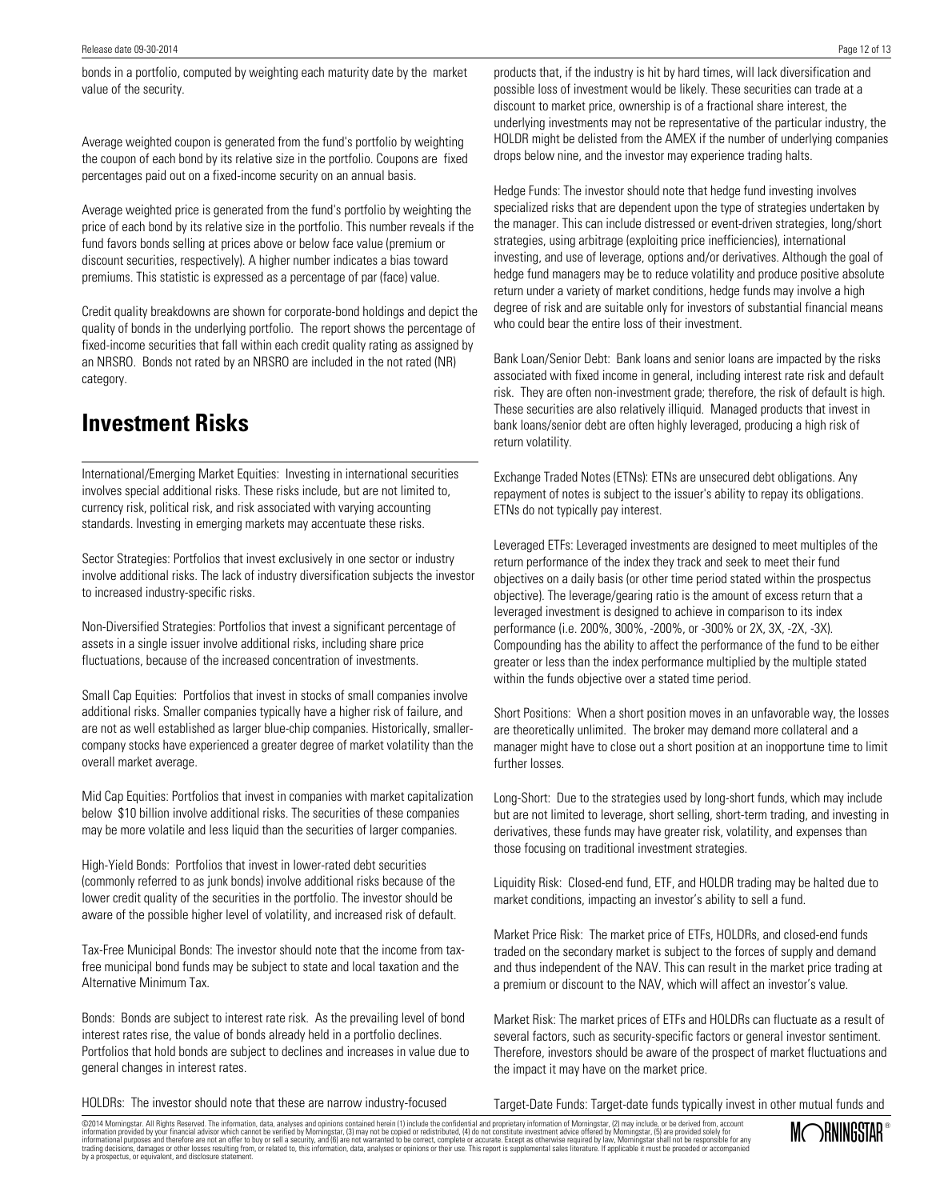bonds in a portfolio, computed by weighting each maturity date by the market value of the security.

Average weighted coupon is generated from the fund's portfolio by weighting the coupon of each bond by its relative size in the portfolio. Coupons are fixed percentages paid out on a fixed-income security on an annual basis.

Average weighted price is generated from the fund's portfolio by weighting the price of each bond by its relative size in the portfolio. This number reveals if the fund favors bonds selling at prices above or below face value (premium or discount securities, respectively). A higher number indicates a bias toward premiums. This statistic is expressed as a percentage of par (face) value.

Credit quality breakdowns are shown for corporate-bond holdings and depict the quality of bonds in the underlying portfolio. The report shows the percentage of fixed-income securities that fall within each credit quality rating as assigned by an NRSRO. Bonds not rated by an NRSRO are included in the not rated (NR) category.

## **Investment Risks**

International/Emerging Market Equities: Investing in international securities involves special additional risks. These risks include, but are not limited to, currency risk, political risk, and risk associated with varying accounting standards. Investing in emerging markets may accentuate these risks.

Sector Strategies: Portfolios that invest exclusively in one sector or industry involve additional risks. The lack of industry diversification subjects the investor to increased industry-specific risks.

Non-Diversified Strategies: Portfolios that invest a significant percentage of assets in a single issuer involve additional risks, including share price fluctuations, because of the increased concentration of investments.

Small Cap Equities: Portfolios that invest in stocks of small companies involve additional risks. Smaller companies typically have a higher risk of failure, and are not as well established as larger blue-chip companies. Historically, smallercompany stocks have experienced a greater degree of market volatility than the overall market average.

Mid Cap Equities: Portfolios that invest in companies with market capitalization below \$10 billion involve additional risks. The securities of these companies may be more volatile and less liquid than the securities of larger companies.

High-Yield Bonds: Portfolios that invest in lower-rated debt securities (commonly referred to as junk bonds) involve additional risks because of the lower credit quality of the securities in the portfolio. The investor should be aware of the possible higher level of volatility, and increased risk of default.

Tax-Free Municipal Bonds: The investor should note that the income from taxfree municipal bond funds may be subject to state and local taxation and the Alternative Minimum Tax.

Bonds: Bonds are subject to interest rate risk. As the prevailing level of bond interest rates rise, the value of bonds already held in a portfolio declines. Portfolios that hold bonds are subject to declines and increases in value due to general changes in interest rates.

products that, if the industry is hit by hard times, will lack diversification and possible loss of investment would be likely. These securities can trade at a discount to market price, ownership is of a fractional share interest, the underlying investments may not be representative of the particular industry, the HOLDR might be delisted from the AMEX if the number of underlying companies drops below nine, and the investor may experience trading halts.

Hedge Funds: The investor should note that hedge fund investing involves specialized risks that are dependent upon the type of strategies undertaken by the manager. This can include distressed or event-driven strategies, long/short strategies, using arbitrage (exploiting price inefficiencies), international investing, and use of leverage, options and/or derivatives. Although the goal of hedge fund managers may be to reduce volatility and produce positive absolute return under a variety of market conditions, hedge funds may involve a high degree of risk and are suitable only for investors of substantial financial means who could bear the entire loss of their investment.

Bank Loan/Senior Debt: Bank loans and senior loans are impacted by the risks associated with fixed income in general, including interest rate risk and default risk. They are often non-investment grade; therefore, the risk of default is high. These securities are also relatively illiquid. Managed products that invest in bank loans/senior debt are often highly leveraged, producing a high risk of return volatility.

Exchange Traded Notes (ETNs): ETNs are unsecured debt obligations. Any repayment of notes is subject to the issuer's ability to repay its obligations. ETNs do not typically pay interest.

Leveraged ETFs: Leveraged investments are designed to meet multiples of the return performance of the index they track and seek to meet their fund objectives on a daily basis (or other time period stated within the prospectus objective). The leverage/gearing ratio is the amount of excess return that a leveraged investment is designed to achieve in comparison to its index performance (i.e. 200%, 300%, -200%, or -300% or 2X, 3X, -2X, -3X). Compounding has the ability to affect the performance of the fund to be either greater or less than the index performance multiplied by the multiple stated within the funds objective over a stated time period.

Short Positions: When a short position moves in an unfavorable way, the losses are theoretically unlimited. The broker may demand more collateral and a manager might have to close out a short position at an inopportune time to limit further losses.

Long-Short: Due to the strategies used by long-short funds, which may include but are not limited to leverage, short selling, short-term trading, and investing in derivatives, these funds may have greater risk, volatility, and expenses than those focusing on traditional investment strategies.

Liquidity Risk: Closed-end fund, ETF, and HOLDR trading may be halted due to market conditions, impacting an investor's ability to sell a fund.

Market Price Risk: The market price of ETFs, HOLDRs, and closed-end funds traded on the secondary market is subject to the forces of supply and demand and thus independent of the NAV. This can result in the market price trading at a premium or discount to the NAV, which will affect an investor's value.

Market Risk: The market prices of ETFs and HOLDRs can fluctuate as a result of several factors, such as security-specific factors or general investor sentiment. Therefore, investors should be aware of the prospect of market fluctuations and the impact it may have on the market price.

HOLDRs: The investor should note that these are narrow industry-focused

Target-Date Funds: Target-date funds typically invest in other mutual funds and